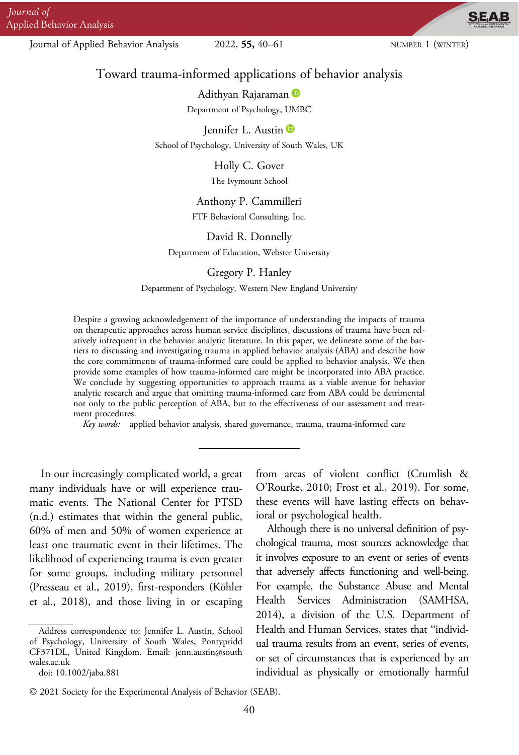Journal of Applied Behavior Analysis 2022, 55, 40–61 NUMBER 1 (WINTER)

**SEAB** 

# Toward trauma-informed applications of behavior analysis

Adithyan Rajaraman Department of Psychology, UMBC

Jennifer L. Austin

School of Psychology, University of South Wales, UK

Holly C. Gover

The Ivymount School

# Anthony P. Cammilleri

FTF Behavioral Consulting, Inc.

#### David R. Donnelly

Department of Education, Webster University

Gregory P. Hanley

Department of Psychology, Western New England University

Despite a growing acknowledgement of the importance of understanding the impacts of trauma on therapeutic approaches across human service disciplines, discussions of trauma have been relatively infrequent in the behavior analytic literature. In this paper, we delineate some of the barriers to discussing and investigating trauma in applied behavior analysis (ABA) and describe how the core commitments of trauma-informed care could be applied to behavior analysis. We then provide some examples of how trauma-informed care might be incorporated into ABA practice. We conclude by suggesting opportunities to approach trauma as a viable avenue for behavior analytic research and argue that omitting trauma-informed care from ABA could be detrimental not only to the public perception of ABA, but to the effectiveness of our assessment and treatment procedures.

Key words: applied behavior analysis, shared governance, trauma, trauma-informed care

In our increasingly complicated world, a great many individuals have or will experience traumatic events. The National Center for PTSD (n.d.) estimates that within the general public, 60% of men and 50% of women experience at least one traumatic event in their lifetimes. The likelihood of experiencing trauma is even greater for some groups, including military personnel (Presseau et al., 2019), first-responders (Köhler et al., 2018), and those living in or escaping

Although there is no universal definition of psychological trauma, most sources acknowledge that it involves exposure to an event or series of events that adversely affects functioning and well-being. For example, the Substance Abuse and Mental Health Services Administration (SAMHSA, 2014), a division of the U.S. Department of Health and Human Services, states that "individual trauma results from an event, series of events, or set of circumstances that is experienced by an individual as physically or emotionally harmful

Address correspondence to: Jennifer L. Austin, School of Psychology, University of South Wales, Pontypridd CF371DL, United Kingdom. Email: jenn.austin@south wales.ac.uk doi: 10.1002/jaba.881

from areas of violent conflict (Crumlish & O'Rourke, 2010; Frost et al., 2019). For some, these events will have lasting effects on behavioral or psychological health.

<sup>© 2021</sup> Society for the Experimental Analysis of Behavior (SEAB).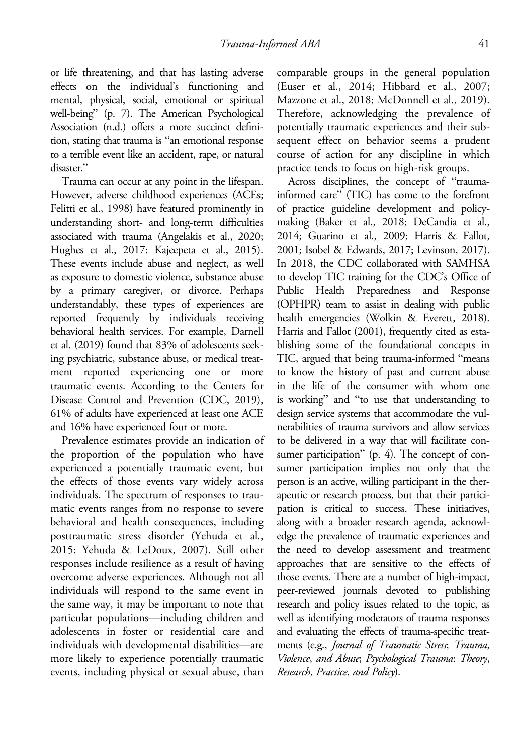or life threatening, and that has lasting adverse effects on the individual's functioning and mental, physical, social, emotional or spiritual well-being" (p. 7). The American Psychological Association (n.d.) offers a more succinct definition, stating that trauma is "an emotional response to a terrible event like an accident, rape, or natural disaster."

Trauma can occur at any point in the lifespan. However, adverse childhood experiences (ACEs; Felitti et al., 1998) have featured prominently in understanding short- and long-term difficulties associated with trauma (Angelakis et al., 2020; Hughes et al., 2017; Kajeepeta et al., 2015). These events include abuse and neglect, as well as exposure to domestic violence, substance abuse by a primary caregiver, or divorce. Perhaps understandably, these types of experiences are reported frequently by individuals receiving behavioral health services. For example, Darnell et al. (2019) found that 83% of adolescents seeking psychiatric, substance abuse, or medical treatment reported experiencing one or more traumatic events. According to the Centers for Disease Control and Prevention (CDC, 2019), 61% of adults have experienced at least one ACE and 16% have experienced four or more.

Prevalence estimates provide an indication of the proportion of the population who have experienced a potentially traumatic event, but the effects of those events vary widely across individuals. The spectrum of responses to traumatic events ranges from no response to severe behavioral and health consequences, including posttraumatic stress disorder (Yehuda et al., 2015; Yehuda & LeDoux, 2007). Still other responses include resilience as a result of having overcome adverse experiences. Although not all individuals will respond to the same event in the same way, it may be important to note that particular populations—including children and adolescents in foster or residential care and individuals with developmental disabilities—are more likely to experience potentially traumatic events, including physical or sexual abuse, than

comparable groups in the general population (Euser et al., 2014; Hibbard et al., 2007; Mazzone et al., 2018; McDonnell et al., 2019). Therefore, acknowledging the prevalence of potentially traumatic experiences and their subsequent effect on behavior seems a prudent course of action for any discipline in which practice tends to focus on high-risk groups.

Across disciplines, the concept of "traumainformed care" (TIC) has come to the forefront of practice guideline development and policymaking (Baker et al., 2018; DeCandia et al., 2014; Guarino et al., 2009; Harris & Fallot, 2001; Isobel & Edwards, 2017; Levinson, 2017). In 2018, the CDC collaborated with SAMHSA to develop TIC training for the CDC's Office of Public Health Preparedness and Response (OPHPR) team to assist in dealing with public health emergencies (Wolkin & Everett, 2018). Harris and Fallot (2001), frequently cited as establishing some of the foundational concepts in TIC, argued that being trauma-informed "means to know the history of past and current abuse in the life of the consumer with whom one is working" and "to use that understanding to design service systems that accommodate the vulnerabilities of trauma survivors and allow services to be delivered in a way that will facilitate consumer participation" (p. 4). The concept of consumer participation implies not only that the person is an active, willing participant in the therapeutic or research process, but that their participation is critical to success. These initiatives, along with a broader research agenda, acknowledge the prevalence of traumatic experiences and the need to develop assessment and treatment approaches that are sensitive to the effects of those events. There are a number of high-impact, peer-reviewed journals devoted to publishing research and policy issues related to the topic, as well as identifying moderators of trauma responses and evaluating the effects of trauma-specific treatments (e.g., Journal of Traumatic Stress; Trauma, Violence, and Abuse; Psychological Trauma: Theory, Research, Practice, and Policy).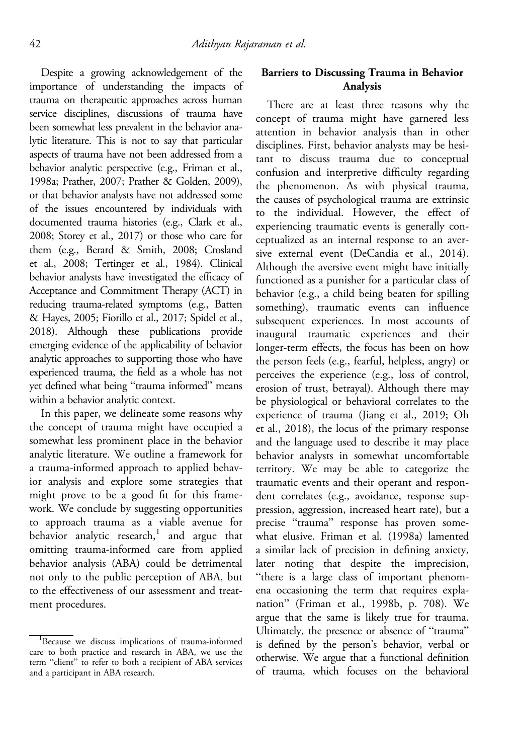Despite a growing acknowledgement of the importance of understanding the impacts of trauma on therapeutic approaches across human service disciplines, discussions of trauma have been somewhat less prevalent in the behavior analytic literature. This is not to say that particular aspects of trauma have not been addressed from a behavior analytic perspective (e.g., Friman et al., 1998a; Prather, 2007; Prather & Golden, 2009), or that behavior analysts have not addressed some of the issues encountered by individuals with documented trauma histories (e.g., Clark et al., 2008; Storey et al., 2017) or those who care for them (e.g., Berard & Smith, 2008; Crosland et al., 2008; Tertinger et al., 1984). Clinical behavior analysts have investigated the efficacy of Acceptance and Commitment Therapy (ACT) in reducing trauma-related symptoms (e.g., Batten & Hayes, 2005; Fiorillo et al., 2017; Spidel et al., 2018). Although these publications provide emerging evidence of the applicability of behavior analytic approaches to supporting those who have experienced trauma, the field as a whole has not yet defined what being "trauma informed" means within a behavior analytic context.

In this paper, we delineate some reasons why the concept of trauma might have occupied a somewhat less prominent place in the behavior analytic literature. We outline a framework for a trauma-informed approach to applied behavior analysis and explore some strategies that might prove to be a good fit for this framework. We conclude by suggesting opportunities to approach trauma as a viable avenue for behavior analytic research, $1$  and argue that omitting trauma-informed care from applied behavior analysis (ABA) could be detrimental not only to the public perception of ABA, but to the effectiveness of our assessment and treatment procedures.

# Barriers to Discussing Trauma in Behavior Analysis

There are at least three reasons why the concept of trauma might have garnered less attention in behavior analysis than in other disciplines. First, behavior analysts may be hesitant to discuss trauma due to conceptual confusion and interpretive difficulty regarding the phenomenon. As with physical trauma, the causes of psychological trauma are extrinsic to the individual. However, the effect of experiencing traumatic events is generally conceptualized as an internal response to an aversive external event (DeCandia et al., 2014). Although the aversive event might have initially functioned as a punisher for a particular class of behavior (e.g., a child being beaten for spilling something), traumatic events can influence subsequent experiences. In most accounts of inaugural traumatic experiences and their longer-term effects, the focus has been on how the person feels (e.g., fearful, helpless, angry) or perceives the experience (e.g., loss of control, erosion of trust, betrayal). Although there may be physiological or behavioral correlates to the experience of trauma (Jiang et al., 2019; Oh et al., 2018), the locus of the primary response and the language used to describe it may place behavior analysts in somewhat uncomfortable territory. We may be able to categorize the traumatic events and their operant and respondent correlates (e.g., avoidance, response suppression, aggression, increased heart rate), but a precise "trauma" response has proven somewhat elusive. Friman et al. (1998a) lamented a similar lack of precision in defining anxiety, later noting that despite the imprecision, "there is a large class of important phenomena occasioning the term that requires explanation" (Friman et al., 1998b, p. 708). We argue that the same is likely true for trauma. Ultimately, the presence or absence of "trauma" is defined by the person's behavior, verbal or otherwise. We argue that a functional definition of trauma, which focuses on the behavioral

<sup>&</sup>lt;sup>1</sup>Because we discuss implications of trauma-informed care to both practice and research in ABA, we use the term "client" to refer to both a recipient of ABA services and a participant in ABA research.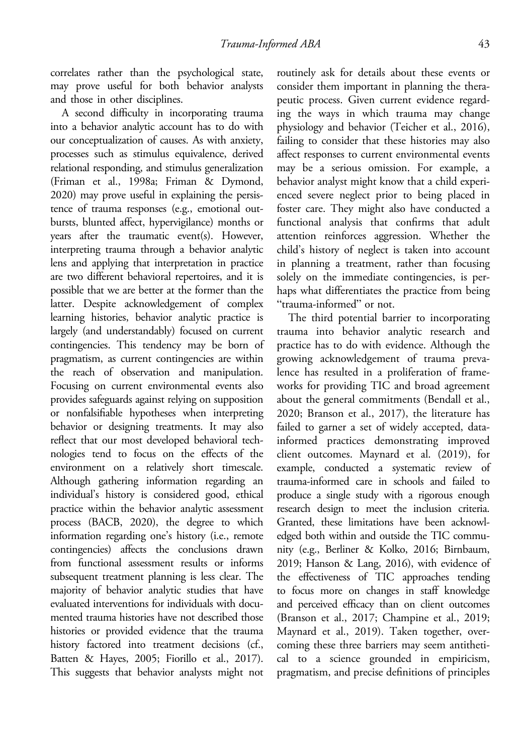correlates rather than the psychological state, may prove useful for both behavior analysts and those in other disciplines.

A second difficulty in incorporating trauma into a behavior analytic account has to do with our conceptualization of causes. As with anxiety, processes such as stimulus equivalence, derived relational responding, and stimulus generalization (Friman et al., 1998a; Friman & Dymond, 2020) may prove useful in explaining the persistence of trauma responses (e.g., emotional outbursts, blunted affect, hypervigilance) months or years after the traumatic event(s). However, interpreting trauma through a behavior analytic lens and applying that interpretation in practice are two different behavioral repertoires, and it is possible that we are better at the former than the latter. Despite acknowledgement of complex learning histories, behavior analytic practice is largely (and understandably) focused on current contingencies. This tendency may be born of pragmatism, as current contingencies are within the reach of observation and manipulation. Focusing on current environmental events also provides safeguards against relying on supposition or nonfalsifiable hypotheses when interpreting behavior or designing treatments. It may also reflect that our most developed behavioral technologies tend to focus on the effects of the environment on a relatively short timescale. Although gathering information regarding an individual's history is considered good, ethical practice within the behavior analytic assessment process (BACB, 2020), the degree to which information regarding one's history (i.e., remote contingencies) affects the conclusions drawn from functional assessment results or informs subsequent treatment planning is less clear. The majority of behavior analytic studies that have evaluated interventions for individuals with documented trauma histories have not described those histories or provided evidence that the trauma history factored into treatment decisions (cf., Batten & Hayes, 2005; Fiorillo et al., 2017). This suggests that behavior analysts might not routinely ask for details about these events or consider them important in planning the therapeutic process. Given current evidence regarding the ways in which trauma may change physiology and behavior (Teicher et al., 2016), failing to consider that these histories may also affect responses to current environmental events may be a serious omission. For example, a behavior analyst might know that a child experienced severe neglect prior to being placed in foster care. They might also have conducted a functional analysis that confirms that adult attention reinforces aggression. Whether the child's history of neglect is taken into account in planning a treatment, rather than focusing solely on the immediate contingencies, is perhaps what differentiates the practice from being "trauma-informed" or not.

The third potential barrier to incorporating trauma into behavior analytic research and practice has to do with evidence. Although the growing acknowledgement of trauma prevalence has resulted in a proliferation of frameworks for providing TIC and broad agreement about the general commitments (Bendall et al., 2020; Branson et al., 2017), the literature has failed to garner a set of widely accepted, datainformed practices demonstrating improved client outcomes. Maynard et al. (2019), for example, conducted a systematic review of trauma-informed care in schools and failed to produce a single study with a rigorous enough research design to meet the inclusion criteria. Granted, these limitations have been acknowledged both within and outside the TIC community (e.g., Berliner & Kolko, 2016; Birnbaum, 2019; Hanson & Lang, 2016), with evidence of the effectiveness of TIC approaches tending to focus more on changes in staff knowledge and perceived efficacy than on client outcomes (Branson et al., 2017; Champine et al., 2019; Maynard et al., 2019). Taken together, overcoming these three barriers may seem antithetical to a science grounded in empiricism, pragmatism, and precise definitions of principles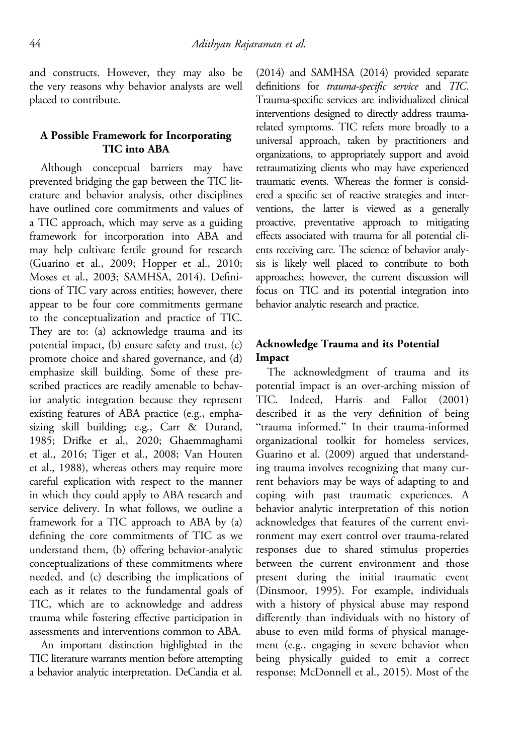and constructs. However, they may also be the very reasons why behavior analysts are well placed to contribute.

### A Possible Framework for Incorporating TIC into ABA

Although conceptual barriers may have prevented bridging the gap between the TIC literature and behavior analysis, other disciplines have outlined core commitments and values of a TIC approach, which may serve as a guiding framework for incorporation into ABA and may help cultivate fertile ground for research (Guarino et al., 2009; Hopper et al., 2010; Moses et al., 2003; SAMHSA, 2014). Definitions of TIC vary across entities; however, there appear to be four core commitments germane to the conceptualization and practice of TIC. They are to: (a) acknowledge trauma and its potential impact, (b) ensure safety and trust, (c) promote choice and shared governance, and (d) emphasize skill building. Some of these prescribed practices are readily amenable to behavior analytic integration because they represent existing features of ABA practice (e.g., emphasizing skill building; e.g., Carr & Durand, 1985; Drifke et al., 2020; Ghaemmaghami et al., 2016; Tiger et al., 2008; Van Houten et al., 1988), whereas others may require more careful explication with respect to the manner in which they could apply to ABA research and service delivery. In what follows, we outline a framework for a TIC approach to ABA by (a) defining the core commitments of TIC as we understand them, (b) offering behavior-analytic conceptualizations of these commitments where needed, and (c) describing the implications of each as it relates to the fundamental goals of TIC, which are to acknowledge and address trauma while fostering effective participation in assessments and interventions common to ABA.

An important distinction highlighted in the TIC literature warrants mention before attempting a behavior analytic interpretation. DeCandia et al.

(2014) and SAMHSA (2014) provided separate definitions for trauma-specific service and TIC. Trauma-specific services are individualized clinical interventions designed to directly address traumarelated symptoms. TIC refers more broadly to a universal approach, taken by practitioners and organizations, to appropriately support and avoid retraumatizing clients who may have experienced traumatic events. Whereas the former is considered a specific set of reactive strategies and interventions, the latter is viewed as a generally proactive, preventative approach to mitigating effects associated with trauma for all potential clients receiving care. The science of behavior analysis is likely well placed to contribute to both approaches; however, the current discussion will focus on TIC and its potential integration into behavior analytic research and practice.

# Acknowledge Trauma and its Potential Impact

The acknowledgment of trauma and its potential impact is an over-arching mission of TIC. Indeed, Harris and Fallot (2001) described it as the very definition of being "trauma informed." In their trauma-informed organizational toolkit for homeless services, Guarino et al. (2009) argued that understanding trauma involves recognizing that many current behaviors may be ways of adapting to and coping with past traumatic experiences. A behavior analytic interpretation of this notion acknowledges that features of the current environment may exert control over trauma-related responses due to shared stimulus properties between the current environment and those present during the initial traumatic event (Dinsmoor, 1995). For example, individuals with a history of physical abuse may respond differently than individuals with no history of abuse to even mild forms of physical management (e.g., engaging in severe behavior when being physically guided to emit a correct response; McDonnell et al., 2015). Most of the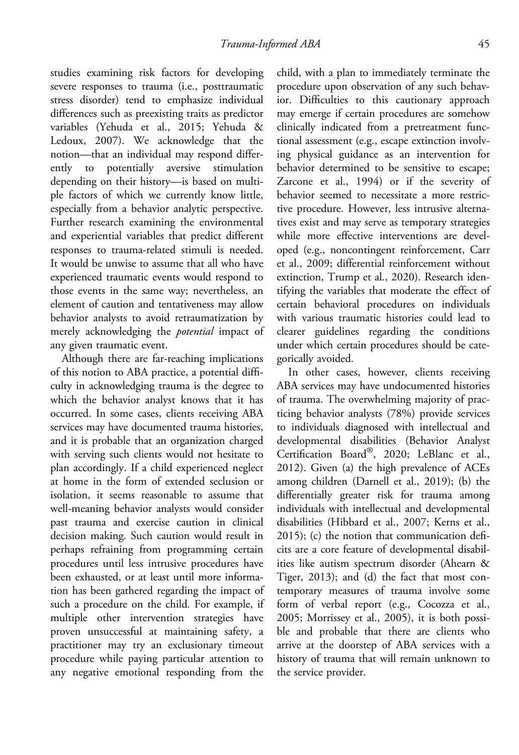studies examining risk factors for developing severe responses to trauma (i.e., posttraumatic stress disorder) tend to emphasize individual differences such as preexisting traits as predictor variables (Yehuda et al., 2015; Yehuda & Ledoux, 2007). We acknowledge that the notion—that an individual may respond differently to potentially aversive stimulation depending on their history—is based on multiple factors of which we currently know little, especially from a behavior analytic perspective. Further research examining the environmental and experiential variables that predict different responses to trauma-related stimuli is needed. It would be unwise to assume that all who have experienced traumatic events would respond to those events in the same way; nevertheless, an element of caution and tentativeness may allow behavior analysts to avoid retraumatization by merely acknowledging the *potential* impact of any given traumatic event.

Although there are far-reaching implications of this notion to ABA practice, a potential difficulty in acknowledging trauma is the degree to which the behavior analyst knows that it has occurred. In some cases, clients receiving ABA services may have documented trauma histories, and it is probable that an organization charged with serving such clients would not hesitate to plan accordingly. If a child experienced neglect at home in the form of extended seclusion or isolation, it seems reasonable to assume that well-meaning behavior analysts would consider past trauma and exercise caution in clinical decision making. Such caution would result in perhaps refraining from programming certain procedures until less intrusive procedures have been exhausted, or at least until more information has been gathered regarding the impact of such a procedure on the child. For example, if multiple other intervention strategies have proven unsuccessful at maintaining safety, a practitioner may try an exclusionary timeout procedure while paying particular attention to any negative emotional responding from the

child, with a plan to immediately terminate the procedure upon observation of any such behavior. Difficulties to this cautionary approach may emerge if certain procedures are somehow clinically indicated from a pretreatment functional assessment (e.g., escape extinction involving physical guidance as an intervention for behavior determined to be sensitive to escape; Zarcone et al., 1994) or if the severity of behavior seemed to necessitate a more restrictive procedure. However, less intrusive alternatives exist and may serve as temporary strategies while more effective interventions are developed (e.g., noncontingent reinforcement, Carr et al., 2009; differential reinforcement without extinction, Trump et al., 2020). Research identifying the variables that moderate the effect of certain behavioral procedures on individuals with various traumatic histories could lead to clearer guidelines regarding the conditions under which certain procedures should be categorically avoided.

In other cases, however, clients receiving ABA services may have undocumented histories of trauma. The overwhelming majority of practicing behavior analysts (78%) provide services to individuals diagnosed with intellectual and developmental disabilities (Behavior Analyst Certification Board®, 2020; LeBlanc et al., 2012). Given (a) the high prevalence of ACEs among children (Darnell et al., 2019); (b) the differentially greater risk for trauma among individuals with intellectual and developmental disabilities (Hibbard et al., 2007; Kerns et al., 2015); (c) the notion that communication deficits are a core feature of developmental disabilities like autism spectrum disorder (Ahearn & Tiger, 2013); and (d) the fact that most contemporary measures of trauma involve some form of verbal report (e.g., Cocozza et al., 2005; Morrissey et al., 2005), it is both possible and probable that there are clients who arrive at the doorstep of ABA services with a history of trauma that will remain unknown to the service provider.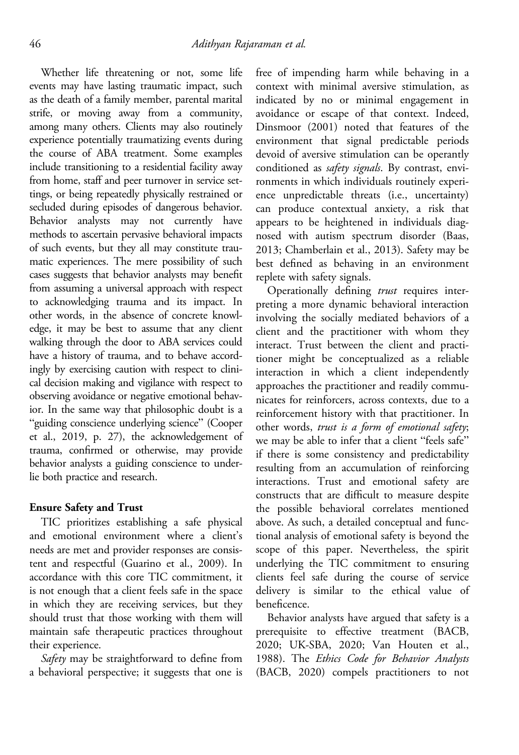Whether life threatening or not, some life events may have lasting traumatic impact, such as the death of a family member, parental marital strife, or moving away from a community, among many others. Clients may also routinely experience potentially traumatizing events during the course of ABA treatment. Some examples include transitioning to a residential facility away from home, staff and peer turnover in service settings, or being repeatedly physically restrained or secluded during episodes of dangerous behavior. Behavior analysts may not currently have methods to ascertain pervasive behavioral impacts of such events, but they all may constitute traumatic experiences. The mere possibility of such cases suggests that behavior analysts may benefit from assuming a universal approach with respect to acknowledging trauma and its impact. In other words, in the absence of concrete knowledge, it may be best to assume that any client walking through the door to ABA services could have a history of trauma, and to behave accordingly by exercising caution with respect to clinical decision making and vigilance with respect to observing avoidance or negative emotional behavior. In the same way that philosophic doubt is a "guiding conscience underlying science" (Cooper et al., 2019, p. 27), the acknowledgement of trauma, confirmed or otherwise, may provide behavior analysts a guiding conscience to underlie both practice and research.

#### Ensure Safety and Trust

TIC prioritizes establishing a safe physical and emotional environment where a client's needs are met and provider responses are consistent and respectful (Guarino et al., 2009). In accordance with this core TIC commitment, it is not enough that a client feels safe in the space in which they are receiving services, but they should trust that those working with them will maintain safe therapeutic practices throughout their experience.

Safety may be straightforward to define from a behavioral perspective; it suggests that one is free of impending harm while behaving in a context with minimal aversive stimulation, as indicated by no or minimal engagement in avoidance or escape of that context. Indeed, Dinsmoor (2001) noted that features of the environment that signal predictable periods devoid of aversive stimulation can be operantly conditioned as *safety signals*. By contrast, environments in which individuals routinely experience unpredictable threats (i.e., uncertainty) can produce contextual anxiety, a risk that appears to be heightened in individuals diagnosed with autism spectrum disorder (Baas, 2013; Chamberlain et al., 2013). Safety may be best defined as behaving in an environment replete with safety signals.

Operationally defining trust requires interpreting a more dynamic behavioral interaction involving the socially mediated behaviors of a client and the practitioner with whom they interact. Trust between the client and practitioner might be conceptualized as a reliable interaction in which a client independently approaches the practitioner and readily communicates for reinforcers, across contexts, due to a reinforcement history with that practitioner. In other words, trust is a form of emotional safety; we may be able to infer that a client "feels safe" if there is some consistency and predictability resulting from an accumulation of reinforcing interactions. Trust and emotional safety are constructs that are difficult to measure despite the possible behavioral correlates mentioned above. As such, a detailed conceptual and functional analysis of emotional safety is beyond the scope of this paper. Nevertheless, the spirit underlying the TIC commitment to ensuring clients feel safe during the course of service delivery is similar to the ethical value of beneficence.

Behavior analysts have argued that safety is a prerequisite to effective treatment (BACB, 2020; UK-SBA, 2020; Van Houten et al., 1988). The Ethics Code for Behavior Analysts (BACB, 2020) compels practitioners to not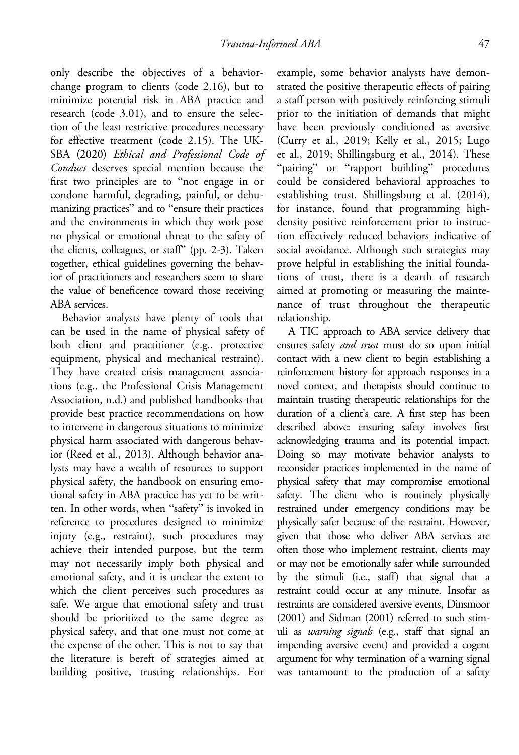only describe the objectives of a behaviorchange program to clients (code 2.16), but to minimize potential risk in ABA practice and research (code 3.01), and to ensure the selection of the least restrictive procedures necessary for effective treatment (code 2.15). The UK-SBA (2020) Ethical and Professional Code of Conduct deserves special mention because the first two principles are to "not engage in or condone harmful, degrading, painful, or dehumanizing practices" and to "ensure their practices and the environments in which they work pose no physical or emotional threat to the safety of the clients, colleagues, or staff" (pp. 2-3). Taken together, ethical guidelines governing the behavior of practitioners and researchers seem to share the value of beneficence toward those receiving ABA services.

Behavior analysts have plenty of tools that can be used in the name of physical safety of both client and practitioner (e.g., protective equipment, physical and mechanical restraint). They have created crisis management associations (e.g., the Professional Crisis Management Association, n.d.) and published handbooks that provide best practice recommendations on how to intervene in dangerous situations to minimize physical harm associated with dangerous behavior (Reed et al., 2013). Although behavior analysts may have a wealth of resources to support physical safety, the handbook on ensuring emotional safety in ABA practice has yet to be written. In other words, when "safety" is invoked in reference to procedures designed to minimize injury (e.g., restraint), such procedures may achieve their intended purpose, but the term may not necessarily imply both physical and emotional safety, and it is unclear the extent to which the client perceives such procedures as safe. We argue that emotional safety and trust should be prioritized to the same degree as physical safety, and that one must not come at the expense of the other. This is not to say that the literature is bereft of strategies aimed at building positive, trusting relationships. For

example, some behavior analysts have demonstrated the positive therapeutic effects of pairing a staff person with positively reinforcing stimuli prior to the initiation of demands that might have been previously conditioned as aversive (Curry et al., 2019; Kelly et al., 2015; Lugo et al., 2019; Shillingsburg et al., 2014). These "pairing" or "rapport building" procedures could be considered behavioral approaches to establishing trust. Shillingsburg et al. (2014), for instance, found that programming highdensity positive reinforcement prior to instruction effectively reduced behaviors indicative of social avoidance. Although such strategies may prove helpful in establishing the initial foundations of trust, there is a dearth of research aimed at promoting or measuring the maintenance of trust throughout the therapeutic relationship.

A TIC approach to ABA service delivery that ensures safety *and trust* must do so upon initial contact with a new client to begin establishing a reinforcement history for approach responses in a novel context, and therapists should continue to maintain trusting therapeutic relationships for the duration of a client's care. A first step has been described above: ensuring safety involves first acknowledging trauma and its potential impact. Doing so may motivate behavior analysts to reconsider practices implemented in the name of physical safety that may compromise emotional safety. The client who is routinely physically restrained under emergency conditions may be physically safer because of the restraint. However, given that those who deliver ABA services are often those who implement restraint, clients may or may not be emotionally safer while surrounded by the stimuli (i.e., staff) that signal that a restraint could occur at any minute. Insofar as restraints are considered aversive events, Dinsmoor (2001) and Sidman (2001) referred to such stimuli as warning signals (e.g., staff that signal an impending aversive event) and provided a cogent argument for why termination of a warning signal was tantamount to the production of a safety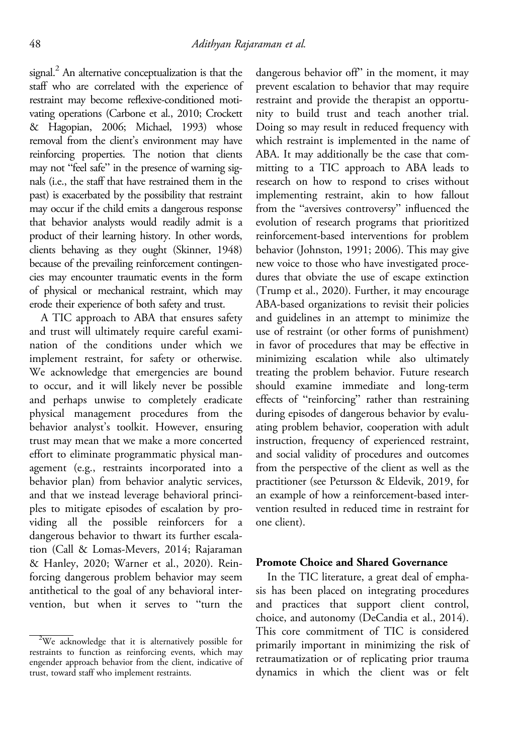signal. $<sup>2</sup>$  An alternative conceptualization is that the</sup> staff who are correlated with the experience of restraint may become reflexive-conditioned motivating operations (Carbone et al., 2010; Crockett & Hagopian, 2006; Michael, 1993) whose removal from the client's environment may have reinforcing properties. The notion that clients may not "feel safe" in the presence of warning signals (i.e., the staff that have restrained them in the past) is exacerbated by the possibility that restraint may occur if the child emits a dangerous response that behavior analysts would readily admit is a product of their learning history. In other words, clients behaving as they ought (Skinner, 1948) because of the prevailing reinforcement contingencies may encounter traumatic events in the form of physical or mechanical restraint, which may erode their experience of both safety and trust.

A TIC approach to ABA that ensures safety and trust will ultimately require careful examination of the conditions under which we implement restraint, for safety or otherwise. We acknowledge that emergencies are bound to occur, and it will likely never be possible and perhaps unwise to completely eradicate physical management procedures from the behavior analyst's toolkit. However, ensuring trust may mean that we make a more concerted effort to eliminate programmatic physical management (e.g., restraints incorporated into a behavior plan) from behavior analytic services, and that we instead leverage behavioral principles to mitigate episodes of escalation by providing all the possible reinforcers for a dangerous behavior to thwart its further escalation (Call & Lomas-Mevers, 2014; Rajaraman & Hanley, 2020; Warner et al., 2020). Reinforcing dangerous problem behavior may seem antithetical to the goal of any behavioral intervention, but when it serves to "turn the

dangerous behavior off" in the moment, it may prevent escalation to behavior that may require restraint and provide the therapist an opportunity to build trust and teach another trial. Doing so may result in reduced frequency with which restraint is implemented in the name of ABA. It may additionally be the case that committing to a TIC approach to ABA leads to research on how to respond to crises without implementing restraint, akin to how fallout from the "aversives controversy" influenced the evolution of research programs that prioritized reinforcement-based interventions for problem behavior (Johnston, 1991; 2006). This may give new voice to those who have investigated procedures that obviate the use of escape extinction (Trump et al., 2020). Further, it may encourage ABA-based organizations to revisit their policies and guidelines in an attempt to minimize the use of restraint (or other forms of punishment) in favor of procedures that may be effective in minimizing escalation while also ultimately treating the problem behavior. Future research should examine immediate and long-term effects of "reinforcing" rather than restraining during episodes of dangerous behavior by evaluating problem behavior, cooperation with adult instruction, frequency of experienced restraint, and social validity of procedures and outcomes from the perspective of the client as well as the practitioner (see Petursson & Eldevik, 2019, for an example of how a reinforcement-based intervention resulted in reduced time in restraint for one client).

### Promote Choice and Shared Governance

In the TIC literature, a great deal of emphasis has been placed on integrating procedures and practices that support client control, choice, and autonomy (DeCandia et al., 2014). This core commitment of TIC is considered primarily important in minimizing the risk of retraumatization or of replicating prior trauma dynamics in which the client was or felt

<sup>&</sup>lt;sup>2</sup>We acknowledge that it is alternatively possible for restraints to function as reinforcing events, which may engender approach behavior from the client, indicative of trust, toward staff who implement restraints.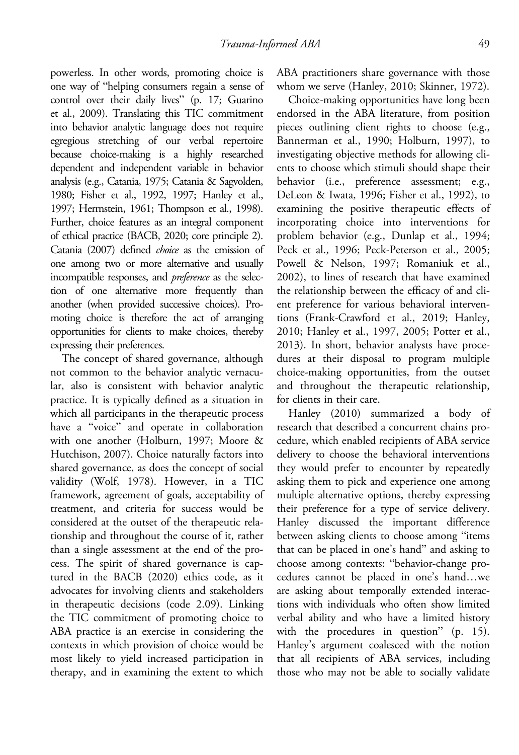powerless. In other words, promoting choice is one way of "helping consumers regain a sense of control over their daily lives" (p. 17; Guarino et al., 2009). Translating this TIC commitment into behavior analytic language does not require egregious stretching of our verbal repertoire because choice-making is a highly researched dependent and independent variable in behavior analysis (e.g., Catania, 1975; Catania & Sagvolden, 1980; Fisher et al., 1992, 1997; Hanley et al., 1997; Herrnstein, 1961; Thompson et al., 1998). Further, choice features as an integral component of ethical practice (BACB, 2020; core principle 2). Catania (2007) defined choice as the emission of one among two or more alternative and usually incompatible responses, and preference as the selection of one alternative more frequently than another (when provided successive choices). Promoting choice is therefore the act of arranging opportunities for clients to make choices, thereby expressing their preferences.

The concept of shared governance, although not common to the behavior analytic vernacular, also is consistent with behavior analytic practice. It is typically defined as a situation in which all participants in the therapeutic process have a "voice" and operate in collaboration with one another (Holburn, 1997; Moore & Hutchison, 2007). Choice naturally factors into shared governance, as does the concept of social validity (Wolf, 1978). However, in a TIC framework, agreement of goals, acceptability of treatment, and criteria for success would be considered at the outset of the therapeutic relationship and throughout the course of it, rather than a single assessment at the end of the process. The spirit of shared governance is captured in the BACB (2020) ethics code, as it advocates for involving clients and stakeholders in therapeutic decisions (code 2.09). Linking the TIC commitment of promoting choice to ABA practice is an exercise in considering the contexts in which provision of choice would be most likely to yield increased participation in therapy, and in examining the extent to which

ABA practitioners share governance with those whom we serve (Hanley, 2010; Skinner, 1972).

Choice-making opportunities have long been endorsed in the ABA literature, from position pieces outlining client rights to choose (e.g., Bannerman et al., 1990; Holburn, 1997), to investigating objective methods for allowing clients to choose which stimuli should shape their behavior (i.e., preference assessment; e.g., DeLeon & Iwata, 1996; Fisher et al., 1992), to examining the positive therapeutic effects of incorporating choice into interventions for problem behavior (e.g., Dunlap et al., 1994; Peck et al., 1996; Peck-Peterson et al., 2005; Powell & Nelson, 1997; Romaniuk et al., 2002), to lines of research that have examined the relationship between the efficacy of and client preference for various behavioral interventions (Frank-Crawford et al., 2019; Hanley, 2010; Hanley et al., 1997, 2005; Potter et al., 2013). In short, behavior analysts have procedures at their disposal to program multiple choice-making opportunities, from the outset and throughout the therapeutic relationship, for clients in their care.

Hanley (2010) summarized a body of research that described a concurrent chains procedure, which enabled recipients of ABA service delivery to choose the behavioral interventions they would prefer to encounter by repeatedly asking them to pick and experience one among multiple alternative options, thereby expressing their preference for a type of service delivery. Hanley discussed the important difference between asking clients to choose among "items that can be placed in one's hand" and asking to choose among contexts: "behavior-change procedures cannot be placed in one's hand…we are asking about temporally extended interactions with individuals who often show limited verbal ability and who have a limited history with the procedures in question" (p. 15). Hanley's argument coalesced with the notion that all recipients of ABA services, including those who may not be able to socially validate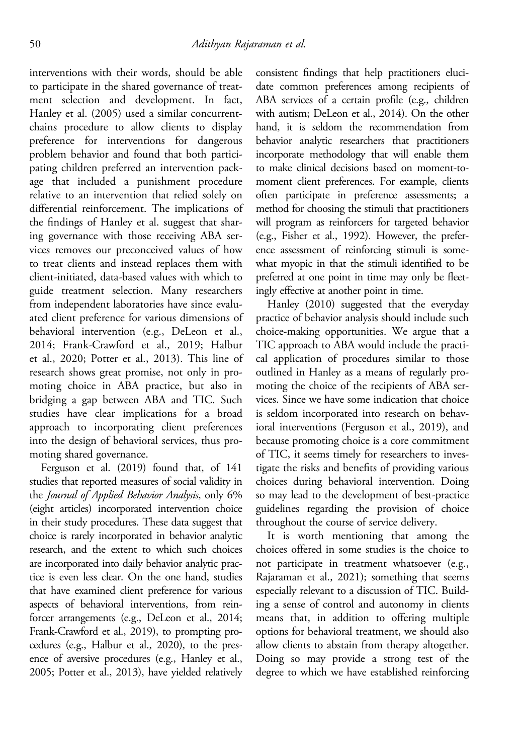interventions with their words, should be able to participate in the shared governance of treatment selection and development. In fact, Hanley et al. (2005) used a similar concurrentchains procedure to allow clients to display preference for interventions for dangerous problem behavior and found that both participating children preferred an intervention package that included a punishment procedure relative to an intervention that relied solely on differential reinforcement. The implications of the findings of Hanley et al. suggest that sharing governance with those receiving ABA services removes our preconceived values of how to treat clients and instead replaces them with client-initiated, data-based values with which to guide treatment selection. Many researchers from independent laboratories have since evaluated client preference for various dimensions of behavioral intervention (e.g., DeLeon et al., 2014; Frank-Crawford et al., 2019; Halbur et al., 2020; Potter et al., 2013). This line of research shows great promise, not only in promoting choice in ABA practice, but also in bridging a gap between ABA and TIC. Such studies have clear implications for a broad approach to incorporating client preferences into the design of behavioral services, thus promoting shared governance.

Ferguson et al. (2019) found that, of 141 studies that reported measures of social validity in the Journal of Applied Behavior Analysis, only 6% (eight articles) incorporated intervention choice in their study procedures. These data suggest that choice is rarely incorporated in behavior analytic research, and the extent to which such choices are incorporated into daily behavior analytic practice is even less clear. On the one hand, studies that have examined client preference for various aspects of behavioral interventions, from reinforcer arrangements (e.g., DeLeon et al., 2014; Frank-Crawford et al., 2019), to prompting procedures (e.g., Halbur et al., 2020), to the presence of aversive procedures (e.g., Hanley et al., 2005; Potter et al., 2013), have yielded relatively

consistent findings that help practitioners elucidate common preferences among recipients of ABA services of a certain profile (e.g., children with autism; DeLeon et al., 2014). On the other hand, it is seldom the recommendation from behavior analytic researchers that practitioners incorporate methodology that will enable them to make clinical decisions based on moment-tomoment client preferences. For example, clients often participate in preference assessments; a method for choosing the stimuli that practitioners will program as reinforcers for targeted behavior (e.g., Fisher et al., 1992). However, the preference assessment of reinforcing stimuli is somewhat myopic in that the stimuli identified to be preferred at one point in time may only be fleetingly effective at another point in time.

Hanley (2010) suggested that the everyday practice of behavior analysis should include such choice-making opportunities. We argue that a TIC approach to ABA would include the practical application of procedures similar to those outlined in Hanley as a means of regularly promoting the choice of the recipients of ABA services. Since we have some indication that choice is seldom incorporated into research on behavioral interventions (Ferguson et al., 2019), and because promoting choice is a core commitment of TIC, it seems timely for researchers to investigate the risks and benefits of providing various choices during behavioral intervention. Doing so may lead to the development of best-practice guidelines regarding the provision of choice throughout the course of service delivery.

It is worth mentioning that among the choices offered in some studies is the choice to not participate in treatment whatsoever (e.g., Rajaraman et al., 2021); something that seems especially relevant to a discussion of TIC. Building a sense of control and autonomy in clients means that, in addition to offering multiple options for behavioral treatment, we should also allow clients to abstain from therapy altogether. Doing so may provide a strong test of the degree to which we have established reinforcing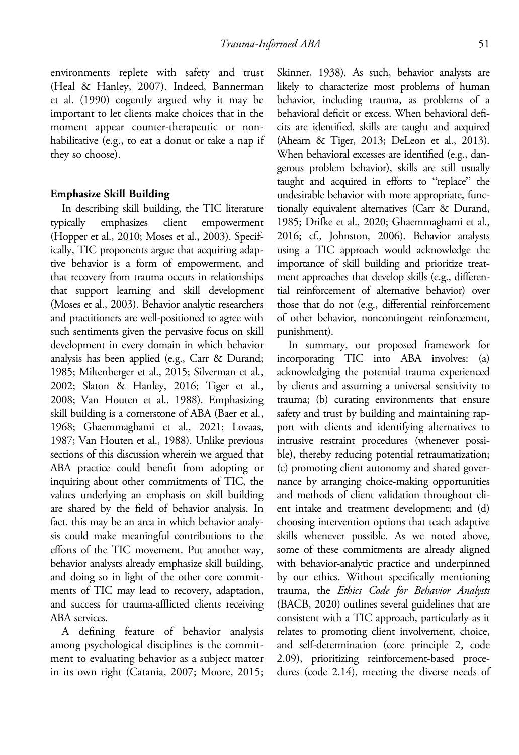environments replete with safety and trust (Heal & Hanley, 2007). Indeed, Bannerman et al. (1990) cogently argued why it may be important to let clients make choices that in the moment appear counter-therapeutic or nonhabilitative (e.g., to eat a donut or take a nap if they so choose).

#### Emphasize Skill Building

In describing skill building, the TIC literature typically emphasizes client empowerment (Hopper et al., 2010; Moses et al., 2003). Specifically, TIC proponents argue that acquiring adaptive behavior is a form of empowerment, and that recovery from trauma occurs in relationships that support learning and skill development (Moses et al., 2003). Behavior analytic researchers and practitioners are well-positioned to agree with such sentiments given the pervasive focus on skill development in every domain in which behavior analysis has been applied (e.g., Carr & Durand; 1985; Miltenberger et al., 2015; Silverman et al., 2002; Slaton & Hanley, 2016; Tiger et al., 2008; Van Houten et al., 1988). Emphasizing skill building is a cornerstone of ABA (Baer et al., 1968; Ghaemmaghami et al., 2021; Lovaas, 1987; Van Houten et al., 1988). Unlike previous sections of this discussion wherein we argued that ABA practice could benefit from adopting or inquiring about other commitments of TIC, the values underlying an emphasis on skill building are shared by the field of behavior analysis. In fact, this may be an area in which behavior analysis could make meaningful contributions to the efforts of the TIC movement. Put another way, behavior analysts already emphasize skill building, and doing so in light of the other core commitments of TIC may lead to recovery, adaptation, and success for trauma-afflicted clients receiving ABA services.

A defining feature of behavior analysis among psychological disciplines is the commitment to evaluating behavior as a subject matter in its own right (Catania, 2007; Moore, 2015; Skinner, 1938). As such, behavior analysts are likely to characterize most problems of human behavior, including trauma, as problems of a behavioral deficit or excess. When behavioral deficits are identified, skills are taught and acquired (Ahearn & Tiger, 2013; DeLeon et al., 2013). When behavioral excesses are identified (e.g., dangerous problem behavior), skills are still usually taught and acquired in efforts to "replace" the undesirable behavior with more appropriate, functionally equivalent alternatives (Carr & Durand, 1985; Drifke et al., 2020; Ghaemmaghami et al., 2016; cf., Johnston, 2006). Behavior analysts using a TIC approach would acknowledge the importance of skill building and prioritize treatment approaches that develop skills (e.g., differential reinforcement of alternative behavior) over those that do not (e.g., differential reinforcement of other behavior, noncontingent reinforcement, punishment).

In summary, our proposed framework for incorporating TIC into ABA involves: (a) acknowledging the potential trauma experienced by clients and assuming a universal sensitivity to trauma; (b) curating environments that ensure safety and trust by building and maintaining rapport with clients and identifying alternatives to intrusive restraint procedures (whenever possible), thereby reducing potential retraumatization; (c) promoting client autonomy and shared governance by arranging choice-making opportunities and methods of client validation throughout client intake and treatment development; and (d) choosing intervention options that teach adaptive skills whenever possible. As we noted above, some of these commitments are already aligned with behavior-analytic practice and underpinned by our ethics. Without specifically mentioning trauma, the Ethics Code for Behavior Analysts (BACB, 2020) outlines several guidelines that are consistent with a TIC approach, particularly as it relates to promoting client involvement, choice, and self-determination (core principle 2, code 2.09), prioritizing reinforcement-based procedures (code 2.14), meeting the diverse needs of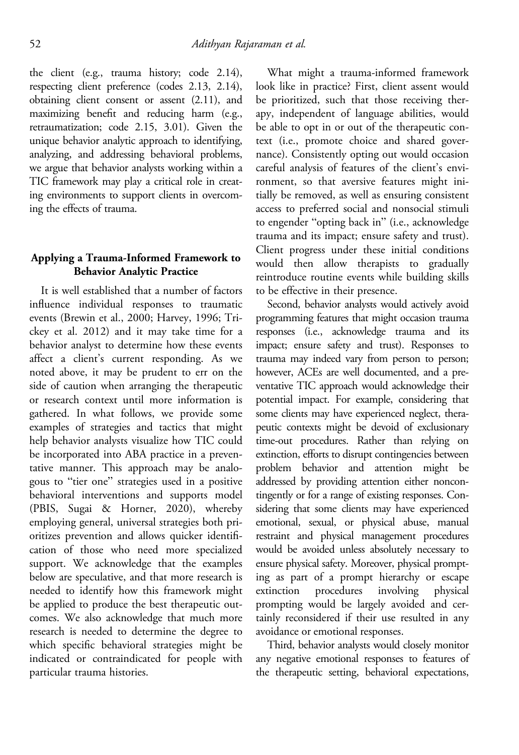the client (e.g., trauma history; code 2.14), respecting client preference (codes 2.13, 2.14), obtaining client consent or assent (2.11), and maximizing benefit and reducing harm (e.g., retraumatization; code 2.15, 3.01). Given the unique behavior analytic approach to identifying, analyzing, and addressing behavioral problems, we argue that behavior analysts working within a TIC framework may play a critical role in creating environments to support clients in overcoming the effects of trauma.

# Applying a Trauma-Informed Framework to Behavior Analytic Practice

It is well established that a number of factors influence individual responses to traumatic events (Brewin et al., 2000; Harvey, 1996; Trickey et al. 2012) and it may take time for a behavior analyst to determine how these events affect a client's current responding. As we noted above, it may be prudent to err on the side of caution when arranging the therapeutic or research context until more information is gathered. In what follows, we provide some examples of strategies and tactics that might help behavior analysts visualize how TIC could be incorporated into ABA practice in a preventative manner. This approach may be analogous to "tier one" strategies used in a positive behavioral interventions and supports model (PBIS, Sugai & Horner, 2020), whereby employing general, universal strategies both prioritizes prevention and allows quicker identification of those who need more specialized support. We acknowledge that the examples below are speculative, and that more research is needed to identify how this framework might be applied to produce the best therapeutic outcomes. We also acknowledge that much more research is needed to determine the degree to which specific behavioral strategies might be indicated or contraindicated for people with particular trauma histories.

What might a trauma-informed framework look like in practice? First, client assent would be prioritized, such that those receiving therapy, independent of language abilities, would be able to opt in or out of the therapeutic context (i.e., promote choice and shared governance). Consistently opting out would occasion careful analysis of features of the client's environment, so that aversive features might initially be removed, as well as ensuring consistent access to preferred social and nonsocial stimuli to engender "opting back in" (i.e., acknowledge trauma and its impact; ensure safety and trust). Client progress under these initial conditions would then allow therapists to gradually reintroduce routine events while building skills to be effective in their presence.

Second, behavior analysts would actively avoid programming features that might occasion trauma responses (i.e., acknowledge trauma and its impact; ensure safety and trust). Responses to trauma may indeed vary from person to person; however, ACEs are well documented, and a preventative TIC approach would acknowledge their potential impact. For example, considering that some clients may have experienced neglect, therapeutic contexts might be devoid of exclusionary time-out procedures. Rather than relying on extinction, efforts to disrupt contingencies between problem behavior and attention might be addressed by providing attention either noncontingently or for a range of existing responses. Considering that some clients may have experienced emotional, sexual, or physical abuse, manual restraint and physical management procedures would be avoided unless absolutely necessary to ensure physical safety. Moreover, physical prompting as part of a prompt hierarchy or escape extinction procedures involving physical prompting would be largely avoided and certainly reconsidered if their use resulted in any avoidance or emotional responses.

Third, behavior analysts would closely monitor any negative emotional responses to features of the therapeutic setting, behavioral expectations,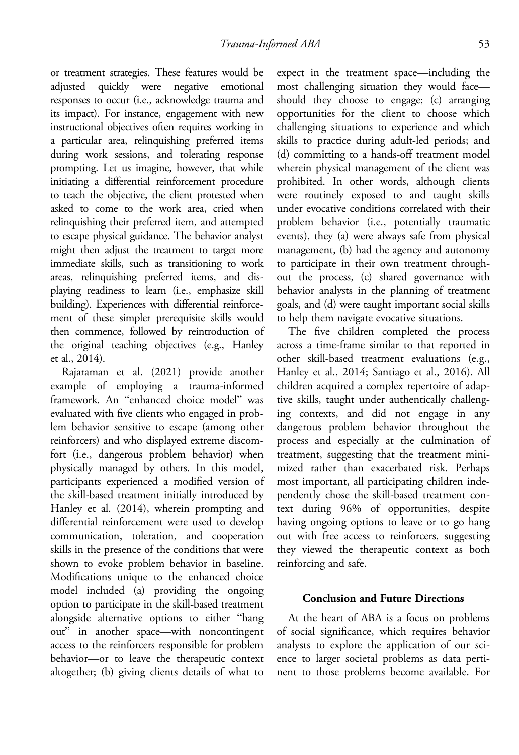or treatment strategies. These features would be adjusted quickly were negative emotional responses to occur (i.e., acknowledge trauma and its impact). For instance, engagement with new instructional objectives often requires working in a particular area, relinquishing preferred items during work sessions, and tolerating response prompting. Let us imagine, however, that while initiating a differential reinforcement procedure to teach the objective, the client protested when asked to come to the work area, cried when relinquishing their preferred item, and attempted to escape physical guidance. The behavior analyst might then adjust the treatment to target more immediate skills, such as transitioning to work areas, relinquishing preferred items, and displaying readiness to learn (i.e., emphasize skill building). Experiences with differential reinforcement of these simpler prerequisite skills would then commence, followed by reintroduction of the original teaching objectives (e.g., Hanley et al., 2014).

Rajaraman et al. (2021) provide another example of employing a trauma-informed framework. An "enhanced choice model" was evaluated with five clients who engaged in problem behavior sensitive to escape (among other reinforcers) and who displayed extreme discomfort (i.e., dangerous problem behavior) when physically managed by others. In this model, participants experienced a modified version of the skill-based treatment initially introduced by Hanley et al. (2014), wherein prompting and differential reinforcement were used to develop communication, toleration, and cooperation skills in the presence of the conditions that were shown to evoke problem behavior in baseline. Modifications unique to the enhanced choice model included (a) providing the ongoing option to participate in the skill-based treatment alongside alternative options to either "hang out" in another space—with noncontingent access to the reinforcers responsible for problem behavior—or to leave the therapeutic context altogether; (b) giving clients details of what to

expect in the treatment space—including the most challenging situation they would face should they choose to engage; (c) arranging opportunities for the client to choose which challenging situations to experience and which skills to practice during adult-led periods; and (d) committing to a hands-off treatment model wherein physical management of the client was prohibited. In other words, although clients were routinely exposed to and taught skills under evocative conditions correlated with their problem behavior (i.e., potentially traumatic events), they (a) were always safe from physical management, (b) had the agency and autonomy to participate in their own treatment throughout the process, (c) shared governance with behavior analysts in the planning of treatment goals, and (d) were taught important social skills to help them navigate evocative situations.

The five children completed the process across a time-frame similar to that reported in other skill-based treatment evaluations (e.g., Hanley et al., 2014; Santiago et al., 2016). All children acquired a complex repertoire of adaptive skills, taught under authentically challenging contexts, and did not engage in any dangerous problem behavior throughout the process and especially at the culmination of treatment, suggesting that the treatment minimized rather than exacerbated risk. Perhaps most important, all participating children independently chose the skill-based treatment context during 96% of opportunities, despite having ongoing options to leave or to go hang out with free access to reinforcers, suggesting they viewed the therapeutic context as both reinforcing and safe.

#### Conclusion and Future Directions

At the heart of ABA is a focus on problems of social significance, which requires behavior analysts to explore the application of our science to larger societal problems as data pertinent to those problems become available. For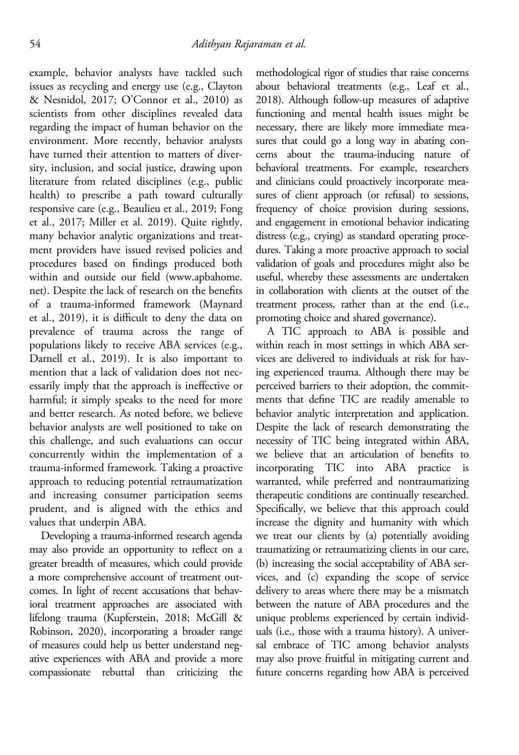example, behavior analysts have tackled such issues as recycling and energy use (e.g., Clayton & Nesnidol, 2017; O'Connor et al., 2010) as scientists from other disciplines revealed data regarding the impact of human behavior on the environment. More recently, behavior analysts have turned their attention to matters of diversity, inclusion, and social justice, drawing upon literature from related disciplines (e.g., public health) to prescribe a path toward culturally responsive care (e.g., Beaulieu et al., 2019; Fong et al., 2017; Miller et al. 2019). Quite rightly, many behavior analytic organizations and treatment providers have issued revised policies and procedures based on findings produced both within and outside our field [\(www.apbahome.](http://www.apbahome.net) [net](http://www.apbahome.net)). Despite the lack of research on the benefits of a trauma-informed framework (Maynard et al., 2019), it is difficult to deny the data on prevalence of trauma across the range of populations likely to receive ABA services (e.g., Darnell et al., 2019). It is also important to mention that a lack of validation does not necessarily imply that the approach is ineffective or harmful; it simply speaks to the need for more and better research. As noted before, we believe behavior analysts are well positioned to take on this challenge, and such evaluations can occur concurrently within the implementation of a trauma-informed framework. Taking a proactive approach to reducing potential retraumatization and increasing consumer participation seems prudent, and is aligned with the ethics and values that underpin ABA.

Developing a trauma-informed research agenda may also provide an opportunity to reflect on a greater breadth of measures, which could provide a more comprehensive account of treatment outcomes. In light of recent accusations that behavioral treatment approaches are associated with lifelong trauma (Kupferstein, 2018; McGill & Robinson, 2020), incorporating a broader range of measures could help us better understand negative experiences with ABA and provide a more compassionate rebuttal than criticizing the methodological rigor of studies that raise concerns about behavioral treatments (e.g., Leaf et al., 2018). Although follow-up measures of adaptive functioning and mental health issues might be necessary, there are likely more immediate measures that could go a long way in abating concerns about the trauma-inducing nature of behavioral treatments. For example, researchers and clinicians could proactively incorporate measures of client approach (or refusal) to sessions, frequency of choice provision during sessions, and engagement in emotional behavior indicating distress (e.g., crying) as standard operating procedures. Taking a more proactive approach to social validation of goals and procedures might also be useful, whereby these assessments are undertaken in collaboration with clients at the outset of the treatment process, rather than at the end (i.e., promoting choice and shared governance).

A TIC approach to ABA is possible and within reach in most settings in which ABA services are delivered to individuals at risk for having experienced trauma. Although there may be perceived barriers to their adoption, the commitments that define TIC are readily amenable to behavior analytic interpretation and application. Despite the lack of research demonstrating the necessity of TIC being integrated within ABA, we believe that an articulation of benefits to incorporating TIC into ABA practice is warranted, while preferred and nontraumatizing therapeutic conditions are continually researched. Specifically, we believe that this approach could increase the dignity and humanity with which we treat our clients by (a) potentially avoiding traumatizing or retraumatizing clients in our care, (b) increasing the social acceptability of ABA services, and (c) expanding the scope of service delivery to areas where there may be a mismatch between the nature of ABA procedures and the unique problems experienced by certain individuals (i.e., those with a trauma history). A universal embrace of TIC among behavior analysts may also prove fruitful in mitigating current and future concerns regarding how ABA is perceived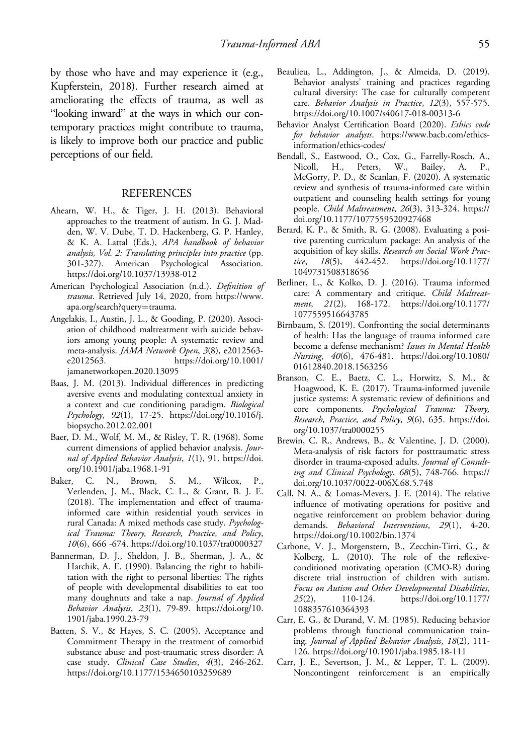by those who have and may experience it (e.g., Kupferstein, 2018). Further research aimed at ameliorating the effects of trauma, as well as "looking inward" at the ways in which our contemporary practices might contribute to trauma, is likely to improve both our practice and public perceptions of our field.

#### REFERENCES

- Ahearn, W. H., & Tiger, J. H. (2013). Behavioral approaches to the treatment of autism. In G. J. Madden, W. V. Dube, T. D. Hackenberg, G. P. Hanley, & K. A. Lattal (Eds.), APA handbook of behavior analysis, Vol. 2: Translating principles into practice (pp. 301-327). American Psychological Association. <https://doi.org/10.1037/13938-012>
- American Psychological Association (n.d.). Definition of trauma. Retrieved July 14, 2020, from [https://www.](https://www.apa.org/search?query=trauma) [apa.org/search?query](https://www.apa.org/search?query=trauma)=trauma.
- Angelakis, I., Austin, J. L., & Gooding, P. (2020). Association of childhood maltreatment with suicide behaviors among young people: A systematic review and meta-analysis. JAMA Network Open, 3(8), e2012563 e2012563. [https://doi.org/10.1001/](https://doi.org/10.1001/jamanetworkopen.2020.13095) [jamanetworkopen.2020.13095](https://doi.org/10.1001/jamanetworkopen.2020.13095)
- Baas, J. M. (2013). Individual differences in predicting aversive events and modulating contextual anxiety in a context and cue conditioning paradigm. Biological Psychology, 92(1), 17-25. [https://doi.org/10.1016/j.](https://doi.org/10.1016/j.biopsycho.2012.02.001) [biopsycho.2012.02.001](https://doi.org/10.1016/j.biopsycho.2012.02.001)
- Baer, D. M., Wolf, M. M., & Risley, T. R. (1968). Some current dimensions of applied behavior analysis. Journal of Applied Behavior Analysis, 1(1), 91. [https://doi.](https://doi.org/10.1901/jaba.1968.1-91) [org/10.1901/jaba.1968.1-91](https://doi.org/10.1901/jaba.1968.1-91)
- Baker, C. N., Brown, S. M., Wilcox, P., Verlenden, J. M., Black, C. L., & Grant, B. J. E. (2018). The implementation and effect of traumainformed care within residential youth services in rural Canada: A mixed methods case study. Psychological Trauma: Theory, Research, Practice, and Policy, 10(6), 666 -674.<https://doi.org/10.1037/tra0000327>
- Bannerman, D. J., Sheldon, J. B., Sherman, J. A., & Harchik, A. E. (1990). Balancing the right to habilitation with the right to personal liberties: The rights of people with developmental disabilities to eat too many doughnuts and take a nap. Journal of Applied Behavior Analysis, 23(1), 79-89. [https://doi.org/10.](https://doi.org/10.1901/jaba.1990.23-79) [1901/jaba.1990.23-79](https://doi.org/10.1901/jaba.1990.23-79)
- Batten, S. V., & Hayes, S. C. (2005). Acceptance and Commitment Therapy in the treatment of comorbid substance abuse and post-traumatic stress disorder: A case study. Clinical Case Studies, 4(3), 246-262. <https://doi.org/10.1177/1534650103259689>
- Beaulieu, L., Addington, J., & Almeida, D. (2019). Behavior analysts' training and practices regarding cultural diversity: The case for culturally competent care. Behavior Analysis in Practice, 12(3), 557-575. <https://doi.org/10.1007/s40617-018-00313-6>
- Behavior Analyst Certification Board (2020). Ethics code for behavior analysts. [https://www.bacb.com/ethics](https://www.bacb.com/ethics-information/ethics-codes/)[information/ethics-codes/](https://www.bacb.com/ethics-information/ethics-codes/)
- Bendall, S., Eastwood, O., Cox, G., Farrelly-Rosch, A., Nicoll, H., Peters, W., Bailey, A. P., McGorry, P. D., & Scanlan, F. (2020). A systematic review and synthesis of trauma-informed care within outpatient and counseling health settings for young people. Child Maltreatment, 26(3), 313-324. [https://](https://doi.org/10.1177/1077559520927468) [doi.org/10.1177/1077559520927468](https://doi.org/10.1177/1077559520927468)
- Berard, K. P., & Smith, R. G. (2008). Evaluating a positive parenting curriculum package: An analysis of the acquisition of key skills. Research on Social Work Practice, 18(5), 442-452. [https://doi.org/10.1177/](https://doi.org/10.1177/1049731508318656) [1049731508318656](https://doi.org/10.1177/1049731508318656)
- Berliner, L., & Kolko, D. J. (2016). Trauma informed care: A commentary and critique. Child Maltreatment, 21(2), 168-172. [https://doi.org/10.1177/](https://doi.org/10.1177/1077559516643785) [1077559516643785](https://doi.org/10.1177/1077559516643785)
- Birnbaum, S. (2019). Confronting the social determinants of health: Has the language of trauma informed care become a defense mechanism? Issues in Mental Health Nursing, 40(6), 476-481. [https://doi.org/10.1080/](https://doi.org/10.1080/01612840.2018.1563256) [01612840.2018.1563256](https://doi.org/10.1080/01612840.2018.1563256)
- Branson, C. E., Baetz, C. L., Horwitz, S. M., & Hoagwood, K. E. (2017). Trauma-informed juvenile justice systems: A systematic review of definitions and core components. Psychological Trauma: Theory, Research, Practice, and Policy, 9(6), 635. [https://doi.](https://doi.org/10.1037/tra0000255) [org/10.1037/tra0000255](https://doi.org/10.1037/tra0000255)
- Brewin, C. R., Andrews, B., & Valentine, J. D. (2000). Meta-analysis of risk factors for posttraumatic stress disorder in trauma-exposed adults. Journal of Consulting and Clinical Psychology, 68(5), 748-766. [https://](https://doi.org/10.1037/0022-006X.68.5.748) [doi.org/10.1037/0022-006X.68.5.748](https://doi.org/10.1037/0022-006X.68.5.748)
- Call, N. A., & Lomas-Mevers, J. E. (2014). The relative influence of motivating operations for positive and negative reinforcement on problem behavior during demands. Behavioral Interventions, 29(1), 4-20. <https://doi.org/10.1002/bin.1374>
- Carbone, V. J., Morgenstern, B., Zecchin-Tirri, G., & Kolberg, L. (2010). The role of the reflexiveconditioned motivating operation (CMO-R) during discrete trial instruction of children with autism. Focus on Autism and Other Developmental Disabilities, 25(2), 110-124. [https://doi.org/10.1177/](https://doi.org/10.1177/1088357610364393) [1088357610364393](https://doi.org/10.1177/1088357610364393)
- Carr, E. G., & Durand, V. M. (1985). Reducing behavior problems through functional communication training. Journal of Applied Behavior Analysis, 18(2), 111- 126.<https://doi.org/10.1901/jaba.1985.18-111>
- Carr, J. E., Severtson, J. M., & Lepper, T. L. (2009). Noncontingent reinforcement is an empirically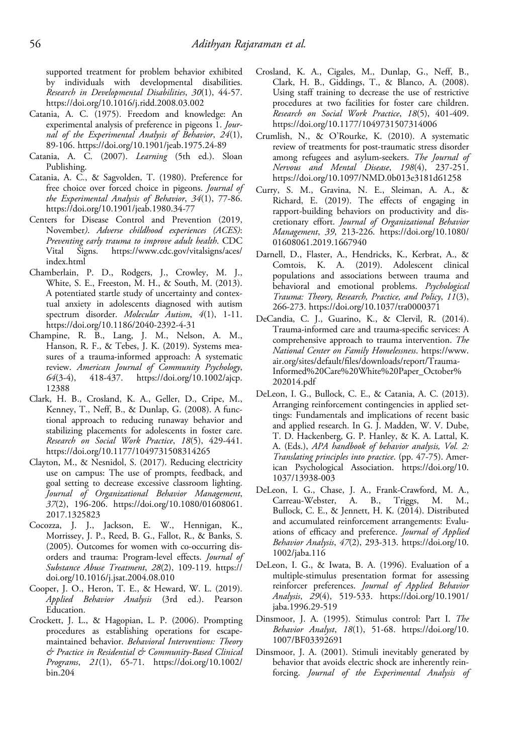supported treatment for problem behavior exhibited by individuals with developmental disabilities. Research in Developmental Disabilities, 30(1), 44-57. <https://doi.org/10.1016/j.ridd.2008.03.002>

- Catania, A. C. (1975). Freedom and knowledge: An experimental analysis of preference in pigeons 1. Journal of the Experimental Analysis of Behavior, 24(1), 89-106.<https://doi.org/10.1901/jeab.1975.24-89>
- Catania, A. C. (2007). Learning (5th ed.). Sloan Publishing.
- Catania, A. C., & Sagvolden, T. (1980). Preference for free choice over forced choice in pigeons. Journal of the Experimental Analysis of Behavior, 34(1), 77-86. <https://doi.org/10.1901/jeab.1980.34-77>
- Centers for Disease Control and Prevention (2019, November). Adverse childhood experiences (ACES): Preventing early trauma to improve adult health. CDC Vital Signs. [https://www.cdc.gov/vitalsigns/aces/](https://www.cdc.gov/vitalsigns/aces/index.html) [index.html](https://www.cdc.gov/vitalsigns/aces/index.html)
- Chamberlain, P. D., Rodgers, J., Crowley, M. J., White, S. E., Freeston, M. H., & South, M. (2013). A potentiated startle study of uncertainty and contextual anxiety in adolescents diagnosed with autism spectrum disorder. Molecular Autism, 4(1), 1-11. <https://doi.org/10.1186/2040-2392-4-31>
- Champine, R. B., Lang, J. M., Nelson, A. M., Hanson, R. F., & Tebes, J. K. (2019). Systems measures of a trauma-informed approach: A systematic review. American Journal of Community Psychology, 64(3-4), 418-437. [https://doi.org/10.1002/ajcp.](https://doi.org/10.1002/ajcp.12388) [12388](https://doi.org/10.1002/ajcp.12388)
- Clark, H. B., Crosland, K. A., Geller, D., Cripe, M., Kenney, T., Neff, B., & Dunlap, G. (2008). A functional approach to reducing runaway behavior and stabilizing placements for adolescents in foster care. Research on Social Work Practice, 18(5), 429-441. <https://doi.org/10.1177/1049731508314265>
- Clayton, M., & Nesnidol, S. (2017). Reducing electricity use on campus: The use of prompts, feedback, and goal setting to decrease excessive classroom lighting. Journal of Organizational Behavior Management, 37(2), 196-206. [https://doi.org/10.1080/01608061.](https://doi.org/10.1080/01608061.2017.1325823) [2017.1325823](https://doi.org/10.1080/01608061.2017.1325823)
- Cocozza, J. J., Jackson, E. W., Hennigan, K., Morrissey, J. P., Reed, B. G., Fallot, R., & Banks, S. (2005). Outcomes for women with co-occurring disorders and trauma: Program-level effects. Journal of Substance Abuse Treatment, 28(2), 109-119. [https://](https://doi.org/10.1016/j.jsat.2004.08.010) [doi.org/10.1016/j.jsat.2004.08.010](https://doi.org/10.1016/j.jsat.2004.08.010)
- Cooper, J. O., Heron, T. E., & Heward, W. L. (2019). Applied Behavior Analysis (3rd ed.). Pearson Education.
- Crockett, J. L., & Hagopian, L. P. (2006). Prompting procedures as establishing operations for escapemaintained behavior. Behavioral Interventions: Theory & Practice in Residential & Community-Based Clinical Programs, 21(1), 65-71. [https://doi.org/10.1002/](https://doi.org/10.1002/bin.204) [bin.204](https://doi.org/10.1002/bin.204)
- Crosland, K. A., Cigales, M., Dunlap, G., Neff, B., Clark, H. B., Giddings, T., & Blanco, A. (2008). Using staff training to decrease the use of restrictive procedures at two facilities for foster care children. Research on Social Work Practice, 18(5), 401-409. <https://doi.org/10.1177/1049731507314006>
- Crumlish, N., & O'Rourke, K. (2010). A systematic review of treatments for post-traumatic stress disorder among refugees and asylum-seekers. The Journal of Nervous and Mental Disease, 198(4), 237-251. <https://doi.org/10.1097/NMD.0b013e3181d61258>
- Curry, S. M., Gravina, N. E., Sleiman, A. A., & Richard, E. (2019). The effects of engaging in rapport-building behaviors on productivity and discretionary effort. Journal of Organizational Behavior Management, 39, 213-226. [https://doi.org/10.1080/](https://doi.org/10.1080/01608061.2019.1667940) [01608061.2019.1667940](https://doi.org/10.1080/01608061.2019.1667940)
- Darnell, D., Flaster, A., Hendricks, K., Kerbrat, A., & Comtois, K. A. (2019). Adolescent clinical populations and associations between trauma and behavioral and emotional problems. Psychological Trauma: Theory, Research, Practice, and Policy, 11(3), 266-273.<https://doi.org/10.1037/tra0000371>
- DeCandia, C. J., Guarino, K., & Clervil, R. (2014). Trauma-informed care and trauma-specific services: A comprehensive approach to trauma intervention. The National Center on Family Homelessness. [https://www.](https://www.air.org/sites/default/files/downloads/report/Trauma-Informed%20Care%20White%20Paper_October%202014.pdf) air.org/sites/default/fi[les/downloads/report/Trauma-](https://www.air.org/sites/default/files/downloads/report/Trauma-Informed%20Care%20White%20Paper_October%202014.pdf)[Informed%20Care%20White%20Paper\\_October%](https://www.air.org/sites/default/files/downloads/report/Trauma-Informed%20Care%20White%20Paper_October%202014.pdf) [202014.pdf](https://www.air.org/sites/default/files/downloads/report/Trauma-Informed%20Care%20White%20Paper_October%202014.pdf)
- DeLeon, I. G., Bullock, C. E., & Catania, A. C. (2013). Arranging reinforcement contingencies in applied settings: Fundamentals and implications of recent basic and applied research. In G. J. Madden, W. V. Dube, T. D. Hackenberg, G. P. Hanley, & K. A. Lattal, K. A. (Eds.), APA handbook of behavior analysis, Vol. 2: Translating principles into practice. (pp. 47-75). American Psychological Association. [https://doi.org/10.](https://doi.org/10.1037/13938-003) [1037/13938-003](https://doi.org/10.1037/13938-003)
- DeLeon, I. G., Chase, J. A., Frank-Crawford, M. A., Carreau-Webster, A. B., Triggs, M. M., Bullock, C. E., & Jennett, H. K. (2014). Distributed and accumulated reinforcement arrangements: Evaluations of efficacy and preference. Journal of Applied Behavior Analysis, 47(2), 293-313. [https://doi.org/10.](https://doi.org/10.1002/jaba.116) [1002/jaba.116](https://doi.org/10.1002/jaba.116)
- DeLeon, I. G., & Iwata, B. A. (1996). Evaluation of a multiple-stimulus presentation format for assessing reinforcer preferences. Journal of Applied Behavior Analysis, 29(4), 519-533. [https://doi.org/10.1901/](https://doi.org/10.1901/jaba.1996.29-519) [jaba.1996.29-519](https://doi.org/10.1901/jaba.1996.29-519)
- Dinsmoor, J. A. (1995). Stimulus control: Part I. The Behavior Analyst, 18(1), 51-68. [https://doi.org/10.](https://doi.org/10.1007/BF03392691) [1007/BF03392691](https://doi.org/10.1007/BF03392691)
- Dinsmoor, J. A. (2001). Stimuli inevitably generated by behavior that avoids electric shock are inherently reinforcing. Journal of the Experimental Analysis of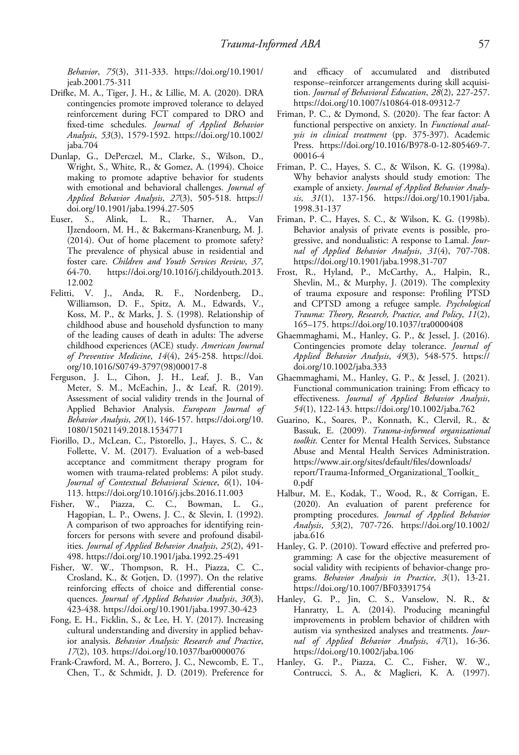Behavior, 75(3), 311-333. [https://doi.org/10.1901/](https://doi.org/10.1901/jeab.2001.75-311) [jeab.2001.75-311](https://doi.org/10.1901/jeab.2001.75-311)

- Drifke, M. A., Tiger, J. H., & Lillie, M. A. (2020). DRA contingencies promote improved tolerance to delayed reinforcement during FCT compared to DRO and fixed-time schedules. Journal of Applied Behavior Analysis, 53(3), 1579-1592. [https://doi.org/10.1002/](https://doi.org/10.1002/jaba.704) [jaba.704](https://doi.org/10.1002/jaba.704)
- Dunlap, G., DePerczel, M., Clarke, S., Wilson, D., Wright, S., White, R., & Gomez, A. (1994). Choice making to promote adaptive behavior for students with emotional and behavioral challenges. Journal of Applied Behavior Analysis, 27(3), 505-518. [https://](https://doi.org/10.1901/jaba.1994.27-505) [doi.org/10.1901/jaba.1994.27-505](https://doi.org/10.1901/jaba.1994.27-505)
- Euser, S., Alink, L. R., Tharner, A., Van IJzendoorn, M. H., & Bakermans-Kranenburg, M. J. (2014). Out of home placement to promote safety? The prevalence of physical abuse in residential and foster care. Children and Youth Services Review, 37, 64-70. [https://doi.org/10.1016/j.childyouth.2013.](https://doi.org/10.1016/j.childyouth.2013.12.002) [12.002](https://doi.org/10.1016/j.childyouth.2013.12.002)
- Felitti, V. J., Anda, R. F., Nordenberg, D., Williamson, D. F., Spitz, A. M., Edwards, V., Koss, M. P., & Marks, J. S. (1998). Relationship of childhood abuse and household dysfunction to many of the leading causes of death in adults: The adverse childhood experiences (ACE) study. American Journal of Preventive Medicine, 14(4), 245-258. [https://doi.](https://doi.org/10.1016/S0749-3797) [org/10.1016/S0749-3797](https://doi.org/10.1016/S0749-3797)(98)00017-8
- Ferguson, J. L., Cihon, J. H., Leaf, J. B., Van Meter, S. M., McEachin, J., & Leaf, R. (2019). Assessment of social validity trends in the Journal of Applied Behavior Analysis. European Journal of Behavior Analysis, 20(1), 146-157. [https://doi.org/10.](https://doi.org/10.1080/15021149.2018.1534771) [1080/15021149.2018.1534771](https://doi.org/10.1080/15021149.2018.1534771)
- Fiorillo, D., McLean, C., Pistorello, J., Hayes, S. C., & Follette, V. M. (2017). Evaluation of a web-based acceptance and commitment therapy program for women with trauma-related problems: A pilot study. Journal of Contextual Behavioral Science, 6(1), 104- 113.<https://doi.org/10.1016/j.jcbs.2016.11.003>
- Fisher, W., Piazza, C. C., Bowman, L. G., Hagopian, L. P., Owens, J. C., & Slevin, I. (1992). A comparison of two approaches for identifying reinforcers for persons with severe and profound disabilities. Journal of Applied Behavior Analysis, 25(2), 491- 498.<https://doi.org/10.1901/jaba.1992.25-491>
- Fisher, W. W., Thompson, R. H., Piazza, C. C., Crosland, K., & Gotjen, D. (1997). On the relative reinforcing effects of choice and differential consequences. Journal of Applied Behavior Analysis, 30(3), 423-438.<https://doi.org/10.1901/jaba.1997.30-423>
- Fong, E. H., Ficklin, S., & Lee, H. Y. (2017). Increasing cultural understanding and diversity in applied behavior analysis. Behavior Analysis: Research and Practice, 17(2), 103.<https://doi.org/10.1037/bar0000076>
- Frank-Crawford, M. A., Borrero, J. C., Newcomb, E. T., Chen, T., & Schmidt, J. D. (2019). Preference for

and efficacy of accumulated and distributed response–reinforcer arrangements during skill acquisition. Journal of Behavioral Education, 28(2), 227-257. <https://doi.org/10.1007/s10864-018-09312-7>

- Friman, P. C., & Dymond, S. (2020). The fear factor: A functional perspective on anxiety. In Functional analysis in clinical treatment (pp. 375-397). Academic Press. [https://doi.org/10.1016/B978-0-12-805469-7.](https://doi.org/10.1016/B978-0-12-805469-7.00016-4) [00016-4](https://doi.org/10.1016/B978-0-12-805469-7.00016-4)
- Friman, P. C., Hayes, S. C., & Wilson, K. G. (1998a). Why behavior analysts should study emotion: The example of anxiety. Journal of Applied Behavior Analysis, 31(1), 137-156. [https://doi.org/10.1901/jaba.](https://doi.org/10.1901/jaba.1998.31-137) [1998.31-137](https://doi.org/10.1901/jaba.1998.31-137)
- Friman, P. C., Hayes, S. C., & Wilson, K. G. (1998b). Behavior analysis of private events is possible, progressive, and nondualistic: A response to Lamal. Journal of Applied Behavior Analysis, 31(4), 707-708. <https://doi.org/10.1901/jaba.1998.31-707>
- Frost, R., Hyland, P., McCarthy, A., Halpin, R., Shevlin, M., & Murphy, J. (2019). The complexity of trauma exposure and response: Profiling PTSD and CPTSD among a refugee sample. Psychological Trauma: Theory, Research, Practice, and Policy, 11(2), 165–175.<https://doi.org/10.1037/tra0000408>
- Ghaemmaghami, M., Hanley, G. P., & Jessel, J. (2016). Contingencies promote delay tolerance. Journal of Applied Behavior Analysis, 49(3), 548-575. [https://](https://doi.org/10.1002/jaba.333) [doi.org/10.1002/jaba.333](https://doi.org/10.1002/jaba.333)
- Ghaemmaghami, M., Hanley, G. P., & Jessel, J. (2021). Functional communication training: From efficacy to effectiveness. Journal of Applied Behavior Analysis, 54(1), 122-143.<https://doi.org/10.1002/jaba.762>
- Guarino, K., Soares, P., Konnath, K., Clervil, R., & Bassuk, E. (2009). Trauma-informed organizational toolkit. Center for Mental Health Services, Substance Abuse and Mental Health Services Administration. [https://www.air.org/sites/default/](https://www.air.org/sites/default/files/downloads/report/Trauma-Informed_Organizational_Toolkit_0.pdf)files/downloads/ [report/Trauma-Informed\\_Organizational\\_Toolkit\\_](https://www.air.org/sites/default/files/downloads/report/Trauma-Informed_Organizational_Toolkit_0.pdf) [0.pdf](https://www.air.org/sites/default/files/downloads/report/Trauma-Informed_Organizational_Toolkit_0.pdf)
- Halbur, M. E., Kodak, T., Wood, R., & Corrigan, E. (2020). An evaluation of parent preference for prompting procedures. Journal of Applied Behavior Analysis, 53(2), 707-726. [https://doi.org/10.1002/](https://doi.org/10.1002/jaba.616) [jaba.616](https://doi.org/10.1002/jaba.616)
- Hanley, G. P. (2010). Toward effective and preferred programming: A case for the objective measurement of social validity with recipients of behavior-change programs. Behavior Analysis in Practice, 3(1), 13-21. <https://doi.org/10.1007/BF03391754>
- Hanley, G. P., Jin, C. S., Vanselow, N. R., & Hanratty, L. A. (2014). Producing meaningful improvements in problem behavior of children with autism via synthesized analyses and treatments. Journal of Applied Behavior Analysis, 47(1), 16-36. <https://doi.org/10.1002/jaba.106>
- Hanley, G. P., Piazza, C. C., Fisher, W. W., Contrucci, S. A., & Maglieri, K. A. (1997).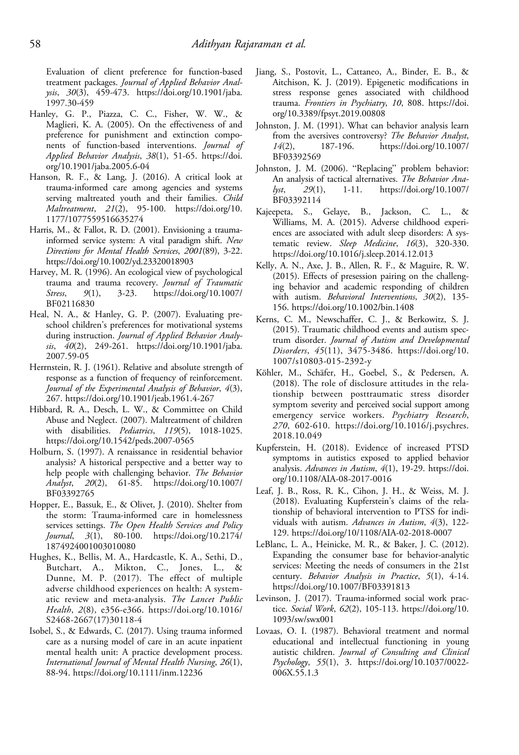Evaluation of client preference for function-based treatment packages. Journal of Applied Behavior Analysis, 30(3), 459-473. [https://doi.org/10.1901/jaba.](https://doi.org/10.1901/jaba.1997.30-459) [1997.30-459](https://doi.org/10.1901/jaba.1997.30-459)

- Hanley, G. P., Piazza, C. C., Fisher, W. W., & Maglieri, K. A. (2005). On the effectiveness of and preference for punishment and extinction components of function-based interventions. Journal of Applied Behavior Analysis, 38(1), 51-65. [https://doi.](https://doi.org/10.1901/jaba.2005.6-04) [org/10.1901/jaba.2005.6-04](https://doi.org/10.1901/jaba.2005.6-04)
- Hanson, R. F., & Lang, J. (2016). A critical look at trauma-informed care among agencies and systems serving maltreated youth and their families. Child Maltreatment, 21(2), 95-100. [https://doi.org/10.](https://doi.org/10.1177/1077559516635274) [1177/1077559516635274](https://doi.org/10.1177/1077559516635274)
- Harris, M., & Fallot, R. D. (2001). Envisioning a traumainformed service system: A vital paradigm shift. New Directions for Mental Health Services, 2001(89), 3-22. <https://doi.org/10.1002/yd.23320018903>
- Harvey, M. R. (1996). An ecological view of psychological trauma and trauma recovery. Journal of Traumatic Stress, 9(1), 3-23. [https://doi.org/10.1007/](https://doi.org/10.1007/BF02116830) [BF02116830](https://doi.org/10.1007/BF02116830)
- Heal, N. A., & Hanley, G. P. (2007). Evaluating preschool children's preferences for motivational systems during instruction. Journal of Applied Behavior Analysis, 40(2), 249-261. [https://doi.org/10.1901/jaba.](https://doi.org/10.1901/jaba.2007.59-05) [2007.59-05](https://doi.org/10.1901/jaba.2007.59-05)
- Herrnstein, R. J. (1961). Relative and absolute strength of response as a function of frequency of reinforcement. Journal of the Experimental Analysis of Behavior, 4(3), 267.<https://doi.org/10.1901/jeab.1961.4-267>
- Hibbard, R. A., Desch, L. W., & Committee on Child Abuse and Neglect. (2007). Maltreatment of children with disabilities. Pediatrics, 119(5), 1018-1025. <https://doi.org/10.1542/peds.2007-0565>
- Holburn, S. (1997). A renaissance in residential behavior analysis? A historical perspective and a better way to help people with challenging behavior. The Behavior Analyst, 20(2), 61-85. [https://doi.org/10.1007/](https://doi.org/10.1007/BF03392765) [BF03392765](https://doi.org/10.1007/BF03392765)
- Hopper, E., Bassuk, E., & Olivet, J. (2010). Shelter from the storm: Trauma-informed care in homelessness services settings. The Open Health Services and Policy Journal, 3(1), 80-100. [https://doi.org/10.2174/](https://doi.org/10.2174/1874924001003010080) [1874924001003010080](https://doi.org/10.2174/1874924001003010080)
- Hughes, K., Bellis, M. A., Hardcastle, K. A., Sethi, D., Butchart, A., Mikton, C., Jones, L., & Dunne, M. P. (2017). The effect of multiple adverse childhood experiences on health: A systematic review and meta-analysis. The Lancet Public Health, 2(8), e356-e366. [https://doi.org/10.1016/](https://doi.org/10.1016/S2468-2667) [S2468-2667](https://doi.org/10.1016/S2468-2667)(17)30118-4
- Isobel, S., & Edwards, C. (2017). Using trauma informed care as a nursing model of care in an acute inpatient mental health unit: A practice development process. International Journal of Mental Health Nursing, 26(1), 88-94.<https://doi.org/10.1111/inm.12236>
- Jiang, S., Postovit, L., Cattaneo, A., Binder, E. B., & Aitchison, K. J. (2019). Epigenetic modifications in stress response genes associated with childhood trauma. Frontiers in Psychiatry, 10, 808. [https://doi.](https://doi.org/10.3389/fpsyt.2019.00808) [org/10.3389/fpsyt.2019.00808](https://doi.org/10.3389/fpsyt.2019.00808)
- Johnston, J. M. (1991). What can behavior analysis learn from the aversives controversy? The Behavior Analyst, 14(2), 187-196. https://doi.org/10.1007/ 14(2), 187-196. [https://doi.org/10.1007/](https://doi.org/10.1007/BF03392569) [BF03392569](https://doi.org/10.1007/BF03392569)
- Johnston, J. M. (2006). "Replacing" problem behavior: An analysis of tactical alternatives. The Behavior Analyst, 29(1), 1-11. [https://doi.org/10.1007/](https://doi.org/10.1007/BF03392114) [BF03392114](https://doi.org/10.1007/BF03392114)
- Kajeepeta, S., Gelaye, B., Jackson, C. L., & Williams, M. A. (2015). Adverse childhood experiences are associated with adult sleep disorders: A systematic review. Sleep Medicine, 16(3), 320-330. <https://doi.org/10.1016/j.sleep.2014.12.013>
- Kelly, A. N., Axe, J. B., Allen, R. F., & Maguire, R. W. (2015). Effects of presession pairing on the challenging behavior and academic responding of children with autism. Behavioral Interventions, 30(2), 135- 156.<https://doi.org/10.1002/bin.1408>
- Kerns, C. M., Newschaffer, C. J., & Berkowitz, S. J. (2015). Traumatic childhood events and autism spectrum disorder. Journal of Autism and Developmental Disorders, 45(11), 3475-3486. [https://doi.org/10.](https://doi.org/10.1007/s10803-015-2392-y) [1007/s10803-015-2392-y](https://doi.org/10.1007/s10803-015-2392-y)
- Köhler, M., Schäfer, H., Goebel, S., & Pedersen, A. (2018). The role of disclosure attitudes in the relationship between posttraumatic stress disorder symptom severity and perceived social support among emergency service workers. Psychiatry Research, 270, 602-610. [https://doi.org/10.1016/j.psychres.](https://doi.org/10.1016/j.psychres.2018.10.049) [2018.10.049](https://doi.org/10.1016/j.psychres.2018.10.049)
- Kupferstein, H. (2018). Evidence of increased PTSD symptoms in autistics exposed to applied behavior analysis. Advances in Autism,  $4(1)$ , 19-29. [https://doi.](https://doi.org/10.1108/AIA-08-2017-0016) [org/10.1108/AIA-08-2017-0016](https://doi.org/10.1108/AIA-08-2017-0016)
- Leaf, J. B., Ross, R. K., Cihon, J. H., & Weiss, M. J. (2018). Evaluating Kupferstein's claims of the relationship of behavioral intervention to PTSS for individuals with autism. Advances in Autism, 4(3), 122- 129.<https://doi.org/10/1108/AIA-02-2018-0007>
- LeBlanc, L. A., Heinicke, M. R., & Baker, J. C. (2012). Expanding the consumer base for behavior-analytic services: Meeting the needs of consumers in the 21st century. Behavior Analysis in Practice, 5(1), 4-14. <https://doi.org/10.1007/BF03391813>
- Levinson, J. (2017). Trauma-informed social work practice. Social Work, 62(2), 105-113. [https://doi.org/10.](https://doi.org/10.1093/sw/swx001) [1093/sw/swx001](https://doi.org/10.1093/sw/swx001)
- Lovaas, O. I. (1987). Behavioral treatment and normal educational and intellectual functioning in young autistic children. Journal of Consulting and Clinical Psychology, 55(1), 3. [https://doi.org/10.1037/0022-](https://doi.org/10.1037/0022-006X.55.1.3) [006X.55.1.3](https://doi.org/10.1037/0022-006X.55.1.3)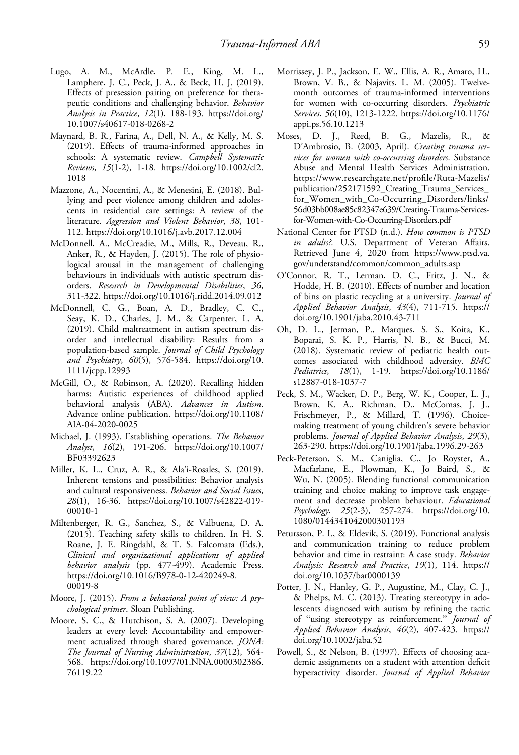- Lugo, A. M., McArdle, P. E., King, M. L., Lamphere, J. C., Peck, J. A., & Beck, H. J. (2019). Effects of presession pairing on preference for therapeutic conditions and challenging behavior. Behavior Analysis in Practice, 12(1), 188-193. [https://doi.org/](https://doi.org/10.1007/s40617-018-0268-2) [10.1007/s40617-018-0268-2](https://doi.org/10.1007/s40617-018-0268-2)
- Maynard, B. R., Farina, A., Dell, N. A., & Kelly, M. S. (2019). Effects of trauma-informed approaches in schools: A systematic review. Campbell Systematic Reviews, 15(1-2), 1-18. [https://doi.org/10.1002/cl2.](https://doi.org/10.1002/cl2.1018) [1018](https://doi.org/10.1002/cl2.1018)
- Mazzone, A., Nocentini, A., & Menesini, E. (2018). Bullying and peer violence among children and adolescents in residential care settings: A review of the literature. Aggression and Violent Behavior, 38, 101- 112.<https://doi.org/10.1016/j.avb.2017.12.004>
- McDonnell, A., McCreadie, M., Mills, R., Deveau, R., Anker, R., & Hayden, J. (2015). The role of physiological arousal in the management of challenging behaviours in individuals with autistic spectrum disorders. Research in Developmental Disabilities, 36, 311-322.<https://doi.org/10.1016/j.ridd.2014.09.012>
- McDonnell, C. G., Boan, A. D., Bradley, C. C., Seay, K. D., Charles, J. M., & Carpenter, L. A. (2019). Child maltreatment in autism spectrum disorder and intellectual disability: Results from a population-based sample. Journal of Child Psychology and Psychiatry, 60(5), 576-584. [https://doi.org/10.](https://doi.org/10.1111/jcpp.12993) [1111/jcpp.12993](https://doi.org/10.1111/jcpp.12993)
- McGill, O., & Robinson, A. (2020). Recalling hidden harms: Autistic experiences of childhood applied behavioral analysis (ABA). Advances in Autism. Advance online publication. [https://doi.org/10.1108/](https://doi.org/10.1108/AIA-04-2020-0025) [AIA-04-2020-0025](https://doi.org/10.1108/AIA-04-2020-0025)
- Michael, J. (1993). Establishing operations. The Behavior Analyst, 16(2), 191-206. [https://doi.org/10.1007/](https://doi.org/10.1007/BF03392623) [BF03392623](https://doi.org/10.1007/BF03392623)
- Miller, K. L., Cruz, A. R., & Ala'i-Rosales, S. (2019). Inherent tensions and possibilities: Behavior analysis and cultural responsiveness. Behavior and Social Issues, 28(1), 16-36. [https://doi.org/10.1007/s42822-019-](https://doi.org/10.1007/s42822-019-00010-1) [00010-1](https://doi.org/10.1007/s42822-019-00010-1)
- Miltenberger, R. G., Sanchez, S., & Valbuena, D. A. (2015). Teaching safety skills to children. In H. S. Roane, J. E. Ringdahl, & T. S. Falcomata (Eds.), Clinical and organizational applications of applied behavior analysis (pp. 477-499). Academic Press. [https://doi.org/10.1016/B978-0-12-420249-8.](https://doi.org/10.1016/B978-0-12-420249-8.00019-8) [00019-8](https://doi.org/10.1016/B978-0-12-420249-8.00019-8)
- Moore, J. (2015). From a behavioral point of view: A psychological primer. Sloan Publishing.
- Moore, S. C., & Hutchison, S. A. (2007). Developing leaders at every level: Accountability and empowerment actualized through shared governance. JONA: The Journal of Nursing Administration, 37(12), 564- 568. [https://doi.org/10.1097/01.NNA.0000302386.](https://doi.org/10.1097/01.NNA.0000302386.76119.22) [76119.22](https://doi.org/10.1097/01.NNA.0000302386.76119.22)
- Morrissey, J. P., Jackson, E. W., Ellis, A. R., Amaro, H., Brown, V. B., & Najavits, L. M. (2005). Twelvemonth outcomes of trauma-informed interventions for women with co-occurring disorders. Psychiatric Services, 56(10), 1213-1222. [https://doi.org/10.1176/](https://doi.org/10.1176/appi.ps.56.10.1213) [appi.ps.56.10.1213](https://doi.org/10.1176/appi.ps.56.10.1213)
- Moses, D. J., Reed, B. G., Mazelis, R., & D'Ambrosio, B. (2003, April). Creating trauma services for women with co-occurring disorders. Substance Abuse and Mental Health Services Administration. [https://www.researchgate.net/pro](https://www.samhsa.gov/sites/default/files/wcdvs-lessons.pdf)file/Ruta-Mazelis/ [publication/252171592\\_Creating\\_Trauma\\_Services\\_](https://www.samhsa.gov/sites/default/files/wcdvs-lessons.pdf) [for\\_Women\\_with\\_Co-Occurring\\_Disorders/links/](https://www.samhsa.gov/sites/default/files/wcdvs-lessons.pdf) [56d03bb008ae85c82347e639/Creating-Trauma-Services](https://www.samhsa.gov/sites/default/files/wcdvs-lessons.pdf)[for-Women-with-Co-Occurring-Disorders.pdf](https://www.samhsa.gov/sites/default/files/wcdvs-lessons.pdf)
- National Center for PTSD (n.d.). How common is PTSD in adults?. U.S. Department of Veteran Affairs. Retrieved June 4, 2020 from [https://www.ptsd.va.](https://www.ptsd.va.gov/understand/common/common_adults.asp) [gov/understand/common/common\\_adults.asp](https://www.ptsd.va.gov/understand/common/common_adults.asp)
- O'Connor, R. T., Lerman, D. C., Fritz, J. N., & Hodde, H. B. (2010). Effects of number and location of bins on plastic recycling at a university. Journal of Applied Behavior Analysis, 43(4), 711-715. [https://](https://doi.org/10.1901/jaba.2010.43-711) [doi.org/10.1901/jaba.2010.43-711](https://doi.org/10.1901/jaba.2010.43-711)
- Oh, D. L., Jerman, P., Marques, S. S., Koita, K., Boparai, S. K. P., Harris, N. B., & Bucci, M. (2018). Systematic review of pediatric health outcomes associated with childhood adversity. BMC Pediatrics, 18(1), 1-19. [https://doi.org/10.1186/](https://doi.org/10.1186/s12887-018-1037-7) [s12887-018-1037-7](https://doi.org/10.1186/s12887-018-1037-7)
- Peck, S. M., Wacker, D. P., Berg, W. K., Cooper, L. J., Brown, K. A., Richman, D., McComas, J. J., Frischmeyer, P., & Millard, T. (1996). Choicemaking treatment of young children's severe behavior problems. Journal of Applied Behavior Analysis, 29(3), 263-290.<https://doi.org/10.1901/jaba.1996.29-263>
- Peck-Peterson, S. M., Caniglia, C., Jo Royster, A., Macfarlane, E., Plowman, K., Jo Baird, S., & Wu, N. (2005). Blending functional communication training and choice making to improve task engagement and decrease problem behaviour. Educational Psychology, 25(2-3), 257-274. [https://doi.org/10.](https://doi.org/10.1080/0144341042000301193) [1080/0144341042000301193](https://doi.org/10.1080/0144341042000301193)
- Petursson, P. I., & Eldevik, S. (2019). Functional analysis and communication training to reduce problem behavior and time in restraint: A case study. Behavior Analysis: Research and Practice, 19(1), 114. [https://](https://doi.org/10.1037/bar0000139) [doi.org/10.1037/bar0000139](https://doi.org/10.1037/bar0000139)
- Potter, J. N., Hanley, G. P., Augustine, M., Clay, C. J., & Phelps, M. C. (2013). Treating stereotypy in adolescents diagnosed with autism by refining the tactic of "using stereotypy as reinforcement." Journal of Applied Behavior Analysis, 46(2), 407-423. [https://](https://doi.org/10.1002/jaba.52) [doi.org/10.1002/jaba.52](https://doi.org/10.1002/jaba.52)
- Powell, S., & Nelson, B. (1997). Effects of choosing academic assignments on a student with attention deficit hyperactivity disorder. Journal of Applied Behavior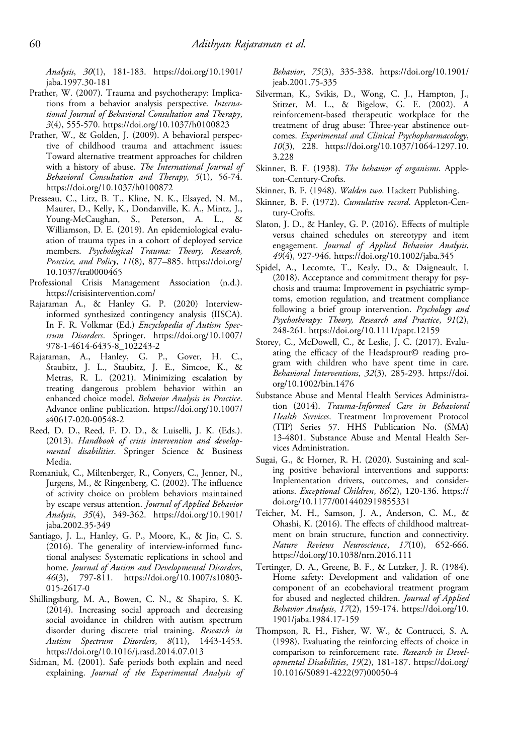Analysis, 30(1), 181-183. [https://doi.org/10.1901/](https://doi.org/10.1901/jaba.1997.30-181) [jaba.1997.30-181](https://doi.org/10.1901/jaba.1997.30-181)

- Prather, W. (2007). Trauma and psychotherapy: Implications from a behavior analysis perspective. International Journal of Behavioral Consultation and Therapy, 3(4), 555-570.<https://doi.org/10.1037/h0100823>
- Prather, W., & Golden, J. (2009). A behavioral perspective of childhood trauma and attachment issues: Toward alternative treatment approaches for children with a history of abuse. The International Journal of Behavioral Consultation and Therapy, 5(1), 56-74. <https://doi.org/10.1037/h0100872>
- Presseau, C., Litz, B. T., Kline, N. K., Elsayed, N. M., Maurer, D., Kelly, K., Dondanville, K. A., Mintz, J., Young-McCaughan, S., Peterson, A. L., & Williamson, D. E. (2019). An epidemiological evaluation of trauma types in a cohort of deployed service members. Psychological Trauma: Theory, Research, Practice, and Policy, 11(8), 877-885. [https://doi.org/](https://doi.org/10.1037/tra0000465) [10.1037/tra0000465](https://doi.org/10.1037/tra0000465)
- Professional Crisis Management Association (n.d.). <https://crisisintervention.com/>
- Rajaraman A., & Hanley G. P. (2020) Interviewinformed synthesized contingency analysis (IISCA). In F. R. Volkmar (Ed.) Encyclopedia of Autism Spectrum Disorders. Springer. [https://doi.org/10.1007/](https://doi.org/10.1007/978-1-4614-6435-8_102243-2) [978-1-4614-6435-8\\_102243-2](https://doi.org/10.1007/978-1-4614-6435-8_102243-2)
- Rajaraman, A., Hanley, G. P., Gover, H. C., Staubitz, J. L., Staubitz, J. E., Simcoe, K., & Metras, R. L. (2021). Minimizing escalation by treating dangerous problem behavior within an enhanced choice model. Behavior Analysis in Practice. Advance online publication. [https://doi.org/10.1007/](https://doi.org/10.1007/s40617-020-00548-2) [s40617-020-00548-2](https://doi.org/10.1007/s40617-020-00548-2)
- Reed, D. D., Reed, F. D. D., & Luiselli, J. K. (Eds.). (2013). Handbook of crisis intervention and developmental disabilities. Springer Science & Business Media.
- Romaniuk, C., Miltenberger, R., Conyers, C., Jenner, N., Jurgens, M., & Ringenberg, C. (2002). The influence of activity choice on problem behaviors maintained by escape versus attention. Journal of Applied Behavior Analysis, 35(4), 349-362. [https://doi.org/10.1901/](https://doi.org/10.1901/jaba.2002.35-349) [jaba.2002.35-349](https://doi.org/10.1901/jaba.2002.35-349)
- Santiago, J. L., Hanley, G. P., Moore, K., & Jin, C. S. (2016). The generality of interview-informed functional analyses: Systematic replications in school and home. Journal of Autism and Developmental Disorders, 46(3), 797-811. [https://doi.org/10.1007/s10803-](https://doi.org/10.1007/s10803-015-2617-0) [015-2617-0](https://doi.org/10.1007/s10803-015-2617-0)
- Shillingsburg, M. A., Bowen, C. N., & Shapiro, S. K. (2014). Increasing social approach and decreasing social avoidance in children with autism spectrum disorder during discrete trial training. Research in Autism Spectrum Disorders, 8(11), 1443-1453. <https://doi.org/10.1016/j.rasd.2014.07.013>
- Sidman, M. (2001). Safe periods both explain and need explaining. Journal of the Experimental Analysis of

Behavior, 75(3), 335-338. [https://doi.org/10.1901/](https://doi.org/10.1901/jeab.2001.75-335) [jeab.2001.75-335](https://doi.org/10.1901/jeab.2001.75-335)

- Silverman, K., Svikis, D., Wong, C. J., Hampton, J., Stitzer, M. L., & Bigelow, G. E. (2002). A reinforcement-based therapeutic workplace for the treatment of drug abuse: Three-year abstinence outcomes. Experimental and Clinical Psychopharmacology, 10(3), 228. [https://doi.org/10.1037/1064-1297.10.](https://doi.org/10.1037/1064-1297.10.3.228) [3.228](https://doi.org/10.1037/1064-1297.10.3.228)
- Skinner, B. F. (1938). The behavior of organisms. Appleton-Century-Crofts.
- Skinner, B. F. (1948). Walden two. Hackett Publishing.
- Skinner, B. F. (1972). Cumulative record. Appleton-Century-Crofts.
- Slaton, J. D., & Hanley, G. P. (2016). Effects of multiple versus chained schedules on stereotypy and item engagement. Journal of Applied Behavior Analysis, 49(4), 927-946.<https://doi.org/10.1002/jaba.345>
- Spidel, A., Lecomte, T., Kealy, D., & Daigneault, I. (2018). Acceptance and commitment therapy for psychosis and trauma: Improvement in psychiatric symptoms, emotion regulation, and treatment compliance following a brief group intervention. Psychology and Psychotherapy: Theory, Research and Practice, 91(2), 248-261.<https://doi.org/10.1111/papt.12159>
- Storey, C., McDowell, C., & Leslie, J. C. (2017). Evaluating the efficacy of the Headsprout© reading program with children who have spent time in care. Behavioral Interventions, 32(3), 285-293. [https://doi.](https://doi.org/10.1002/bin.1476) [org/10.1002/bin.1476](https://doi.org/10.1002/bin.1476)
- Substance Abuse and Mental Health Services Administration (2014). Trauma-Informed Care in Behavioral Health Services. Treatment Improvement Protocol (TIP) Series 57. HHS Publication No. (SMA) 13-4801. Substance Abuse and Mental Health Services Administration.
- Sugai, G., & Horner, R. H. (2020). Sustaining and scaling positive behavioral interventions and supports: Implementation drivers, outcomes, and considerations. Exceptional Children, 86(2), 120-136. [https://](https://doi.org/10.1177/0014402919855331) [doi.org/10.1177/0014402919855331](https://doi.org/10.1177/0014402919855331)
- Teicher, M. H., Samson, J. A., Anderson, C. M., & Ohashi, K. (2016). The effects of childhood maltreatment on brain structure, function and connectivity. Nature Reviews Neuroscience, 17(10), 652-666. <https://doi.org/10.1038/nrn.2016.111>
- Tertinger, D. A., Greene, B. F., & Lutzker, J. R. (1984). Home safety: Development and validation of one component of an ecobehavioral treatment program for abused and neglected children. Journal of Applied Behavior Analysis, 17(2), 159-174. [https://doi.org/10.](https://doi.org/10.1901/jaba.1984.17-159) [1901/jaba.1984.17-159](https://doi.org/10.1901/jaba.1984.17-159)
- Thompson, R. H., Fisher, W. W., & Contrucci, S. A. (1998). Evaluating the reinforcing effects of choice in comparison to reinforcement rate. Research in Developmental Disabilities, 19(2), 181-187. [https://doi.org/](https://doi.org/10.1016/S0891-4222) [10.1016/S0891-4222](https://doi.org/10.1016/S0891-4222)(97)00050-4